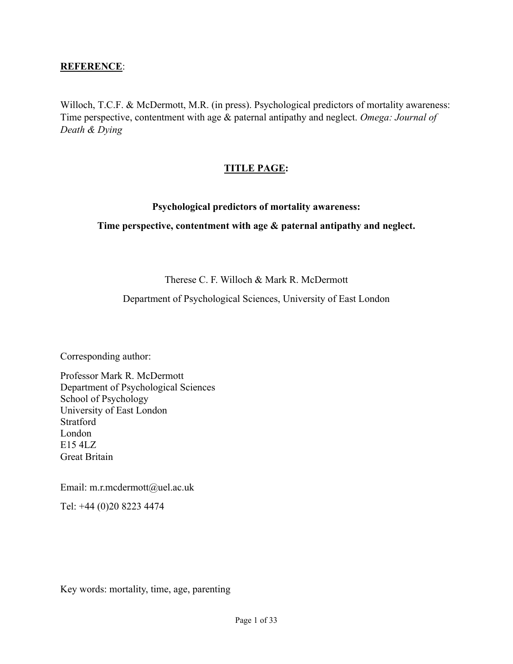# **REFERENCE**:

Willoch, T.C.F. & McDermott, M.R. (in press). Psychological predictors of mortality awareness: Time perspective, contentment with age & paternal antipathy and neglect. *Omega: Journal of Death & Dying*

# **TITLE PAGE:**

### **Psychological predictors of mortality awareness:**

### **Time perspective, contentment with age & paternal antipathy and neglect.**

Therese C. F. Willoch & Mark R. McDermott

Department of Psychological Sciences, University of East London

Corresponding author:

Professor Mark R. McDermott Department of Psychological Sciences School of Psychology University of East London Stratford London E15 4LZ Great Britain

Email: m.r.mcdermott@uel.ac.uk

Tel: +44 (0)20 8223 4474

Key words: mortality, time, age, parenting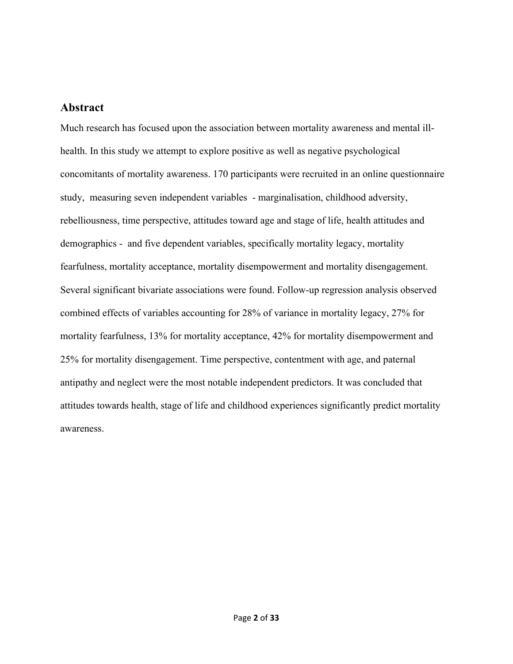# **Abstract**

Much research has focused upon the association between mortality awareness and mental illhealth. In this study we attempt to explore positive as well as negative psychological concomitants of mortality awareness. 170 participants were recruited in an online questionnaire study, measuring seven independent variables - marginalisation, childhood adversity, rebelliousness, time perspective, attitudes toward age and stage of life, health attitudes and demographics - and five dependent variables, specifically mortality legacy, mortality fearfulness, mortality acceptance, mortality disempowerment and mortality disengagement. Several significant bivariate associations were found. Follow-up regression analysis observed combined effects of variables accounting for 28% of variance in mortality legacy, 27% for mortality fearfulness, 13% for mortality acceptance, 42% for mortality disempowerment and 25% for mortality disengagement. Time perspective, contentment with age, and paternal antipathy and neglect were the most notable independent predictors. It was concluded that attitudes towards health, stage of life and childhood experiences significantly predict mortality awareness.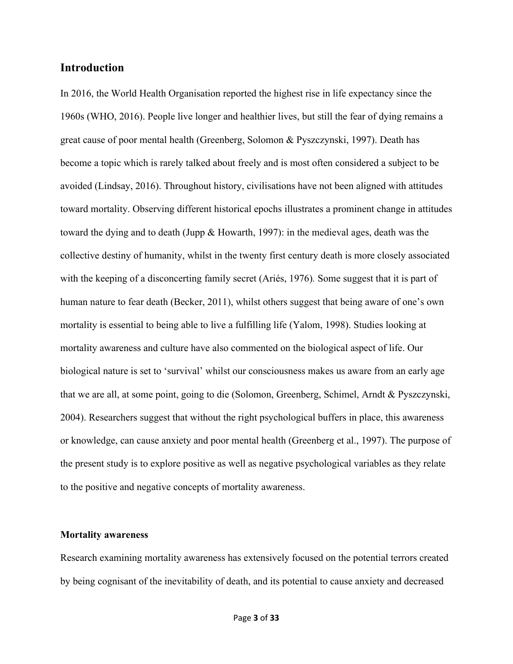# **Introduction**

In 2016, the World Health Organisation reported the highest rise in life expectancy since the 1960s (WHO, 2016). People live longer and healthier lives, but still the fear of dying remains a great cause of poor mental health (Greenberg, Solomon & Pyszczynski, 1997). Death has become a topic which is rarely talked about freely and is most often considered a subject to be avoided (Lindsay, 2016). Throughout history, civilisations have not been aligned with attitudes toward mortality. Observing different historical epochs illustrates a prominent change in attitudes toward the dying and to death (Jupp & Howarth, 1997): in the medieval ages, death was the collective destiny of humanity, whilst in the twenty first century death is more closely associated with the keeping of a disconcerting family secret (Ariés, 1976)*.* Some suggest that it is part of human nature to fear death (Becker, 2011), whilst others suggest that being aware of one's own mortality is essential to being able to live a fulfilling life (Yalom, 1998). Studies looking at mortality awareness and culture have also commented on the biological aspect of life. Our biological nature is set to 'survival' whilst our consciousness makes us aware from an early age that we are all, at some point, going to die (Solomon, Greenberg, Schimel, Arndt & Pyszczynski, 2004). Researchers suggest that without the right psychological buffers in place, this awareness or knowledge, can cause anxiety and poor mental health (Greenberg et al., 1997). The purpose of the present study is to explore positive as well as negative psychological variables as they relate to the positive and negative concepts of mortality awareness.

#### **Mortality awareness**

Research examining mortality awareness has extensively focused on the potential terrors created by being cognisant of the inevitability of death, and its potential to cause anxiety and decreased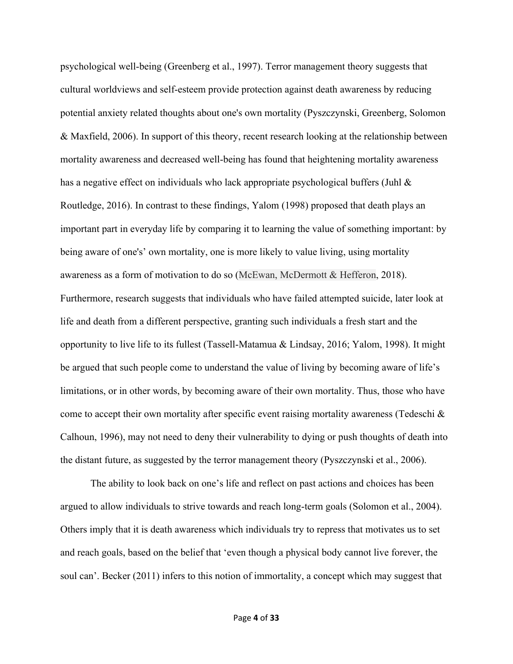psychological well-being (Greenberg et al., 1997). Terror management theory suggests that cultural worldviews and self-esteem provide protection against death awareness by reducing potential anxiety related thoughts about one's own mortality (Pyszczynski, Greenberg, Solomon & Maxfield, 2006). In support of this theory, recent research looking at the relationship between mortality awareness and decreased well-being has found that heightening mortality awareness has a negative effect on individuals who lack appropriate psychological buffers (Juhl & Routledge, 2016). In contrast to these findings, Yalom (1998) proposed that death plays an important part in everyday life by comparing it to learning the value of something important: by being aware of one's' own mortality, one is more likely to value living, using mortality awareness as a form of motivation to do so (McEwan, McDermott & Hefferon, 2018). Furthermore, research suggests that individuals who have failed attempted suicide, later look at life and death from a different perspective, granting such individuals a fresh start and the opportunity to live life to its fullest (Tassell-Matamua & Lindsay, 2016; Yalom, 1998). It might be argued that such people come to understand the value of living by becoming aware of life's limitations, or in other words, by becoming aware of their own mortality. Thus, those who have come to accept their own mortality after specific event raising mortality awareness (Tedeschi  $\&$ Calhoun, 1996), may not need to deny their vulnerability to dying or push thoughts of death into the distant future, as suggested by the terror management theory (Pyszczynski et al., 2006).

The ability to look back on one's life and reflect on past actions and choices has been argued to allow individuals to strive towards and reach long-term goals (Solomon et al., 2004). Others imply that it is death awareness which individuals try to repress that motivates us to set and reach goals, based on the belief that 'even though a physical body cannot live forever, the soul can'. Becker (2011) infers to this notion of immortality, a concept which may suggest that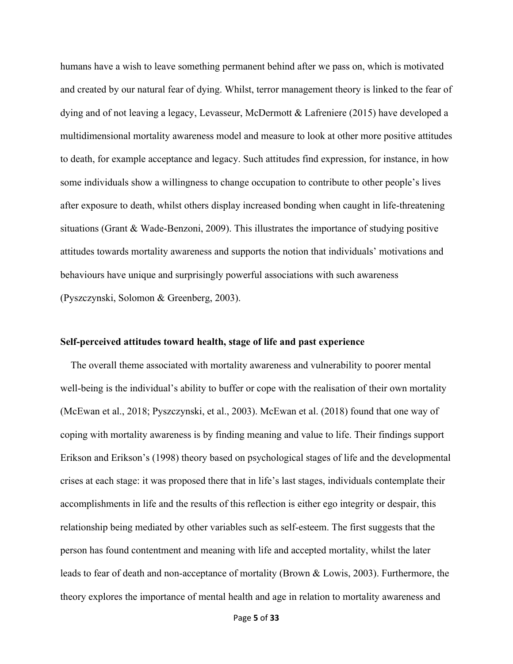humans have a wish to leave something permanent behind after we pass on, which is motivated and created by our natural fear of dying. Whilst, terror management theory is linked to the fear of dying and of not leaving a legacy, Levasseur, McDermott & Lafreniere (2015) have developed a multidimensional mortality awareness model and measure to look at other more positive attitudes to death, for example acceptance and legacy. Such attitudes find expression, for instance, in how some individuals show a willingness to change occupation to contribute to other people's lives after exposure to death, whilst others display increased bonding when caught in life-threatening situations (Grant & Wade-Benzoni, 2009). This illustrates the importance of studying positive attitudes towards mortality awareness and supports the notion that individuals' motivations and behaviours have unique and surprisingly powerful associations with such awareness (Pyszczynski, Solomon & Greenberg, 2003).

#### **Self-perceived attitudes toward health, stage of life and past experience**

 The overall theme associated with mortality awareness and vulnerability to poorer mental well-being is the individual's ability to buffer or cope with the realisation of their own mortality (McEwan et al., 2018; Pyszczynski, et al., 2003). McEwan et al. (2018) found that one way of coping with mortality awareness is by finding meaning and value to life. Their findings support Erikson and Erikson's (1998) theory based on psychological stages of life and the developmental crises at each stage: it was proposed there that in life's last stages, individuals contemplate their accomplishments in life and the results of this reflection is either ego integrity or despair, this relationship being mediated by other variables such as self-esteem. The first suggests that the person has found contentment and meaning with life and accepted mortality, whilst the later leads to fear of death and non-acceptance of mortality (Brown & Lowis, 2003). Furthermore, the theory explores the importance of mental health and age in relation to mortality awareness and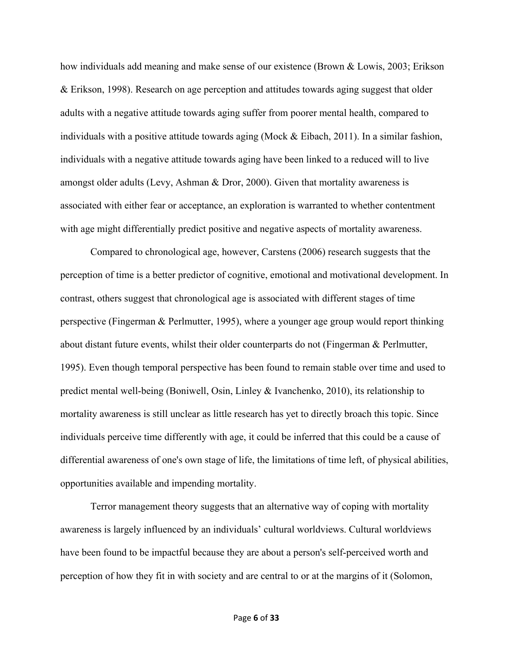how individuals add meaning and make sense of our existence (Brown & Lowis, 2003; Erikson & Erikson, 1998). Research on age perception and attitudes towards aging suggest that older adults with a negative attitude towards aging suffer from poorer mental health, compared to individuals with a positive attitude towards aging (Mock & Eibach, 2011). In a similar fashion, individuals with a negative attitude towards aging have been linked to a reduced will to live amongst older adults (Levy, Ashman & Dror, 2000). Given that mortality awareness is associated with either fear or acceptance, an exploration is warranted to whether contentment with age might differentially predict positive and negative aspects of mortality awareness.

Compared to chronological age, however, Carstens (2006) research suggests that the perception of time is a better predictor of cognitive, emotional and motivational development. In contrast, others suggest that chronological age is associated with different stages of time perspective (Fingerman & Perlmutter, 1995), where a younger age group would report thinking about distant future events, whilst their older counterparts do not (Fingerman & Perlmutter, 1995). Even though temporal perspective has been found to remain stable over time and used to predict mental well-being (Boniwell, Osin, Linley & Ivanchenko, 2010), its relationship to mortality awareness is still unclear as little research has yet to directly broach this topic. Since individuals perceive time differently with age, it could be inferred that this could be a cause of differential awareness of one's own stage of life, the limitations of time left, of physical abilities, opportunities available and impending mortality.

Terror management theory suggests that an alternative way of coping with mortality awareness is largely influenced by an individuals' cultural worldviews. Cultural worldviews have been found to be impactful because they are about a person's self-perceived worth and perception of how they fit in with society and are central to or at the margins of it (Solomon,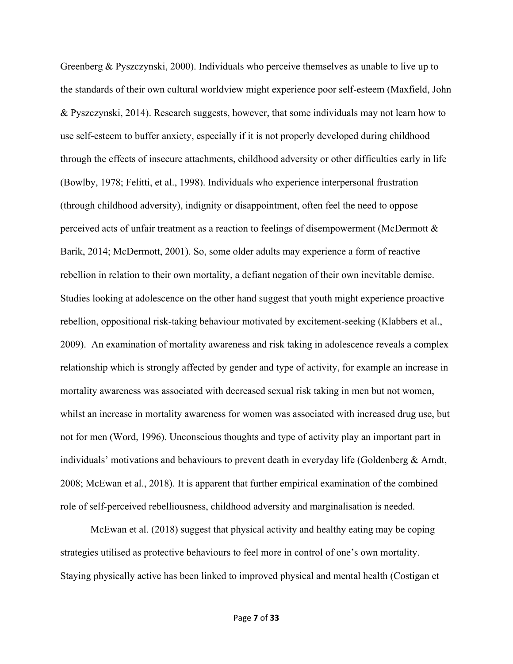Greenberg & Pyszczynski, 2000). Individuals who perceive themselves as unable to live up to the standards of their own cultural worldview might experience poor self-esteem (Maxfield, John & Pyszczynski, 2014). Research suggests, however, that some individuals may not learn how to use self-esteem to buffer anxiety, especially if it is not properly developed during childhood through the effects of insecure attachments, childhood adversity or other difficulties early in life (Bowlby, 1978; Felitti, et al., 1998). Individuals who experience interpersonal frustration (through childhood adversity), indignity or disappointment, often feel the need to oppose perceived acts of unfair treatment as a reaction to feelings of disempowerment (McDermott & Barik, 2014; McDermott, 2001). So, some older adults may experience a form of reactive rebellion in relation to their own mortality, a defiant negation of their own inevitable demise. Studies looking at adolescence on the other hand suggest that youth might experience proactive rebellion, oppositional risk-taking behaviour motivated by excitement-seeking (Klabbers et al., 2009). An examination of mortality awareness and risk taking in adolescence reveals a complex relationship which is strongly affected by gender and type of activity, for example an increase in mortality awareness was associated with decreased sexual risk taking in men but not women, whilst an increase in mortality awareness for women was associated with increased drug use, but not for men (Word, 1996). Unconscious thoughts and type of activity play an important part in individuals' motivations and behaviours to prevent death in everyday life (Goldenberg & Arndt, 2008; McEwan et al., 2018). It is apparent that further empirical examination of the combined role of self-perceived rebelliousness, childhood adversity and marginalisation is needed.

McEwan et al. (2018) suggest that physical activity and healthy eating may be coping strategies utilised as protective behaviours to feel more in control of one's own mortality. Staying physically active has been linked to improved physical and mental health (Costigan et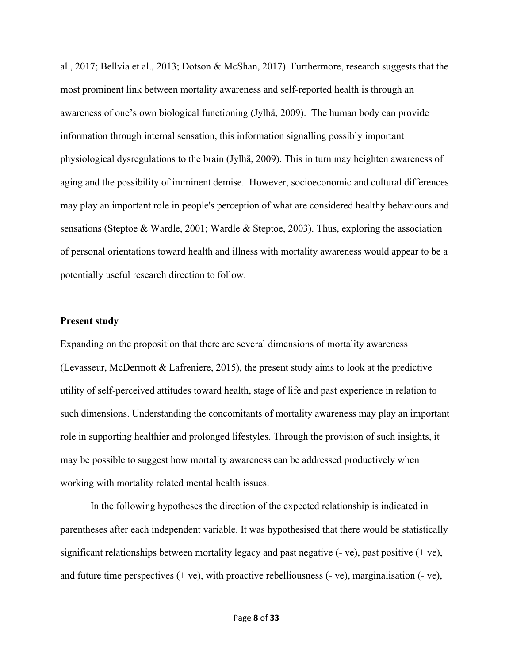al., 2017; Bellvia et al., 2013; Dotson & McShan, 2017). Furthermore, research suggests that the most prominent link between mortality awareness and self-reported health is through an awareness of one's own biological functioning (Jylhä, 2009). The human body can provide information through internal sensation, this information signalling possibly important physiological dysregulations to the brain (Jylhä, 2009). This in turn may heighten awareness of aging and the possibility of imminent demise. However, socioeconomic and cultural differences may play an important role in people's perception of what are considered healthy behaviours and sensations (Steptoe & Wardle, 2001; Wardle & Steptoe, 2003). Thus, exploring the association of personal orientations toward health and illness with mortality awareness would appear to be a potentially useful research direction to follow.

#### **Present study**

Expanding on the proposition that there are several dimensions of mortality awareness (Levasseur, McDermott & Lafreniere, 2015), the present study aims to look at the predictive utility of self-perceived attitudes toward health, stage of life and past experience in relation to such dimensions. Understanding the concomitants of mortality awareness may play an important role in supporting healthier and prolonged lifestyles. Through the provision of such insights, it may be possible to suggest how mortality awareness can be addressed productively when working with mortality related mental health issues.

In the following hypotheses the direction of the expected relationship is indicated in parentheses after each independent variable. It was hypothesised that there would be statistically significant relationships between mortality legacy and past negative  $(-ve)$ , past positive  $(+ve)$ , and future time perspectives  $(+ ve)$ , with proactive rebelliousness  $(-ve)$ , marginalisation  $(-ve)$ ,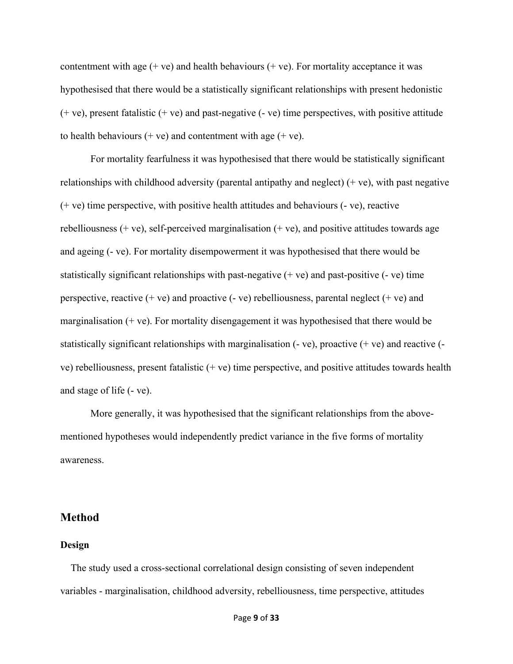contentment with age  $(+ve)$  and health behaviours  $(+ve)$ . For mortality acceptance it was hypothesised that there would be a statistically significant relationships with present hedonistic (+ ve), present fatalistic (+ ve) and past-negative (- ve) time perspectives, with positive attitude to health behaviours  $(+ \text{ve})$  and contentment with age  $(+ \text{ve})$ .

For mortality fearfulness it was hypothesised that there would be statistically significant relationships with childhood adversity (parental antipathy and neglect)  $(+ve)$ , with past negative (+ ve) time perspective, with positive health attitudes and behaviours (- ve), reactive rebelliousness  $(+ \vee e)$ , self-perceived marginalisation  $(+ \vee e)$ , and positive attitudes towards age and ageing (- ve). For mortality disempowerment it was hypothesised that there would be statistically significant relationships with past-negative  $(+$  ve) and past-positive  $(-$  ve) time perspective, reactive  $(+ve)$  and proactive  $(-ve)$  rebelliousness, parental neglect  $(+ve)$  and marginalisation  $(+ ve)$ . For mortality disengagement it was hypothesised that there would be statistically significant relationships with marginalisation  $(-ve)$ , proactive  $(+ve)$  and reactive  $(-\infty)$ ve) rebelliousness, present fatalistic (+ ve) time perspective, and positive attitudes towards health and stage of life (- ve).

More generally, it was hypothesised that the significant relationships from the abovementioned hypotheses would independently predict variance in the five forms of mortality awareness.

## **Method**

#### **Design**

 The study used a cross-sectional correlational design consisting of seven independent variables - marginalisation, childhood adversity, rebelliousness, time perspective, attitudes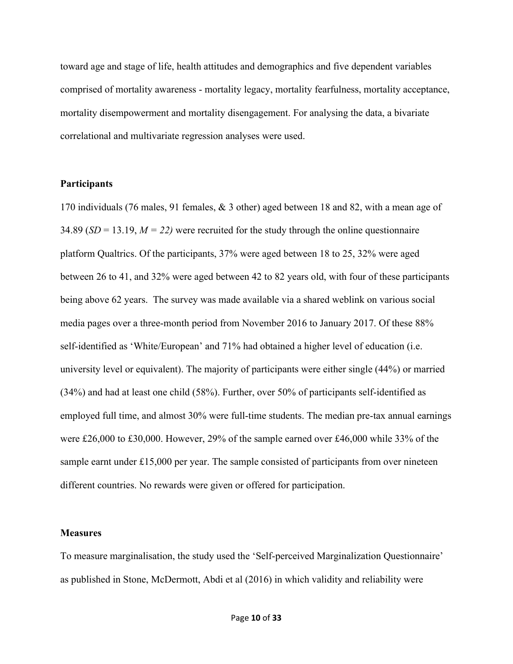toward age and stage of life, health attitudes and demographics and five dependent variables comprised of mortality awareness - mortality legacy, mortality fearfulness, mortality acceptance, mortality disempowerment and mortality disengagement. For analysing the data, a bivariate correlational and multivariate regression analyses were used.

### **Participants**

170 individuals (76 males, 91 females, & 3 other) aged between 18 and 82, with a mean age of 34.89 (*SD* = 13.19, *M = 22)* were recruited for the study through the online questionnaire platform Qualtrics. Of the participants, 37% were aged between 18 to 25, 32% were aged between 26 to 41, and 32% were aged between 42 to 82 years old, with four of these participants being above 62 years. The survey was made available via a shared weblink on various social media pages over a three-month period from November 2016 to January 2017. Of these 88% self-identified as 'White/European' and 71% had obtained a higher level of education (i.e. university level or equivalent). The majority of participants were either single (44%) or married (34%) and had at least one child (58%). Further, over 50% of participants self-identified as employed full time, and almost 30% were full-time students. The median pre-tax annual earnings were £26,000 to £30,000. However, 29% of the sample earned over £46,000 while 33% of the sample earnt under  $£15,000$  per year. The sample consisted of participants from over nineteen different countries. No rewards were given or offered for participation.

#### **Measures**

To measure marginalisation, the study used the 'Self-perceived Marginalization Questionnaire' as published in Stone, McDermott, Abdi et al (2016) in which validity and reliability were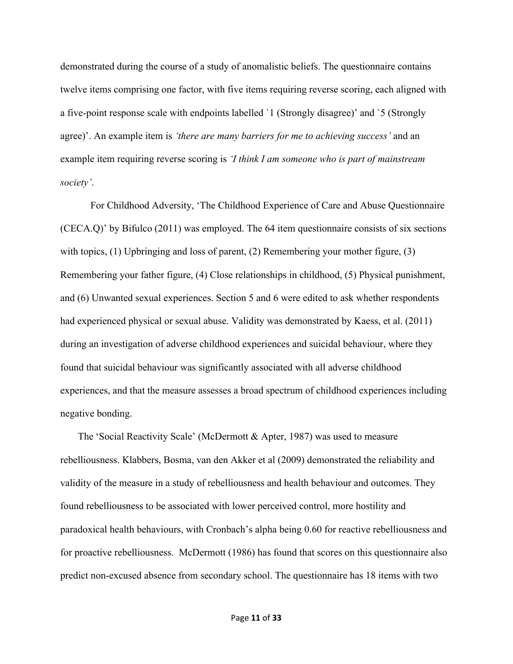demonstrated during the course of a study of anomalistic beliefs. The questionnaire contains twelve items comprising one factor, with five items requiring reverse scoring, each aligned with a five-point response scale with endpoints labelled `1 (Strongly disagree)' and `5 (Strongly agree)'. An example item is *'there are many barriers for me to achieving success'* and an example item requiring reverse scoring is *'I think I am someone who is part of mainstream society'*.

For Childhood Adversity, 'The Childhood Experience of Care and Abuse Questionnaire (CECA.Q)' by Bifulco (2011) was employed. The 64 item questionnaire consists of six sections with topics, (1) Upbringing and loss of parent, (2) Remembering your mother figure, (3) Remembering your father figure, (4) Close relationships in childhood, (5) Physical punishment, and (6) Unwanted sexual experiences. Section 5 and 6 were edited to ask whether respondents had experienced physical or sexual abuse. Validity was demonstrated by Kaess, et al. (2011) during an investigation of adverse childhood experiences and suicidal behaviour, where they found that suicidal behaviour was significantly associated with all adverse childhood experiences, and that the measure assesses a broad spectrum of childhood experiences including negative bonding.

 The 'Social Reactivity Scale' (McDermott & Apter, 1987) was used to measure rebelliousness. Klabbers, Bosma, van den Akker et al (2009) demonstrated the reliability and validity of the measure in a study of rebelliousness and health behaviour and outcomes. They found rebelliousness to be associated with lower perceived control, more hostility and paradoxical health behaviours, with Cronbach's alpha being 0.60 for reactive rebelliousness and for proactive rebelliousness. McDermott (1986) has found that scores on this questionnaire also predict non-excused absence from secondary school. The questionnaire has 18 items with two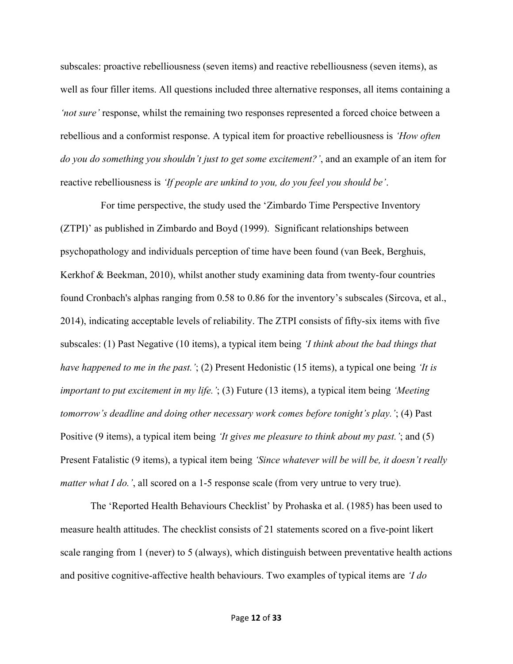subscales: proactive rebelliousness (seven items) and reactive rebelliousness (seven items), as well as four filler items. All questions included three alternative responses, all items containing a *'not sure'* response, whilst the remaining two responses represented a forced choice between a rebellious and a conformist response. A typical item for proactive rebelliousness is *'How often do you do something you shouldn't just to get some excitement?'*, and an example of an item for reactive rebelliousness is *'If people are unkind to you, do you feel you should be'*.

 For time perspective, the study used the 'Zimbardo Time Perspective Inventory (ZTPI)' as published in Zimbardo and Boyd (1999). Significant relationships between psychopathology and individuals perception of time have been found (van Beek, Berghuis, Kerkhof & Beekman, 2010), whilst another study examining data from twenty-four countries found Cronbach's alphas ranging from 0.58 to 0.86 for the inventory's subscales (Sircova, et al., 2014), indicating acceptable levels of reliability. The ZTPI consists of fifty-six items with five subscales: (1) Past Negative (10 items), a typical item being *'I think about the bad things that have happened to me in the past.'*; (2) Present Hedonistic (15 items), a typical one being *'It is important to put excitement in my life.'*; (3) Future (13 items), a typical item being *'Meeting tomorrow's deadline and doing other necessary work comes before tonight's play.'*; (4) Past Positive (9 items), a typical item being *'It gives me pleasure to think about my past.'*; and (5) Present Fatalistic (9 items), a typical item being *'Since whatever will be will be, it doesn't really matter what I do.'*, all scored on a 1-5 response scale (from very untrue to very true).

The 'Reported Health Behaviours Checklist' by Prohaska et al. (1985) has been used to measure health attitudes. The checklist consists of 21 statements scored on a five-point likert scale ranging from 1 (never) to 5 (always), which distinguish between preventative health actions and positive cognitive-affective health behaviours. Two examples of typical items are *'I do*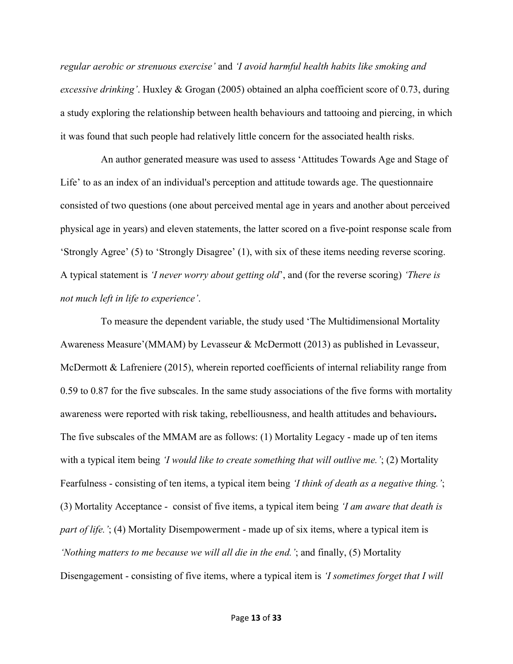*regular aerobic or strenuous exercise'* and *'I avoid harmful health habits like smoking and excessive drinking'*. Huxley & Grogan (2005) obtained an alpha coefficient score of 0.73, during a study exploring the relationship between health behaviours and tattooing and piercing, in which it was found that such people had relatively little concern for the associated health risks.

 An author generated measure was used to assess 'Attitudes Towards Age and Stage of Life' to as an index of an individual's perception and attitude towards age. The questionnaire consisted of two questions (one about perceived mental age in years and another about perceived physical age in years) and eleven statements, the latter scored on a five-point response scale from 'Strongly Agree' (5) to 'Strongly Disagree' (1), with six of these items needing reverse scoring. A typical statement is *'I never worry about getting old*', and (for the reverse scoring) *'There is not much left in life to experience'*.

 To measure the dependent variable, the study used 'The Multidimensional Mortality Awareness Measure'(MMAM) by Levasseur & McDermott (2013) as published in Levasseur, McDermott & Lafreniere (2015), wherein reported coefficients of internal reliability range from 0.59 to 0.87 for the five subscales. In the same study associations of the five forms with mortality awareness were reported with risk taking, rebelliousness, and health attitudes and behaviours**.** The five subscales of the MMAM are as follows: (1) Mortality Legacy - made up of ten items with a typical item being *'I would like to create something that will outlive me.'*; (2) Mortality Fearfulness - consisting of ten items, a typical item being *'I think of death as a negative thing.'*; (3) Mortality Acceptance - consist of five items, a typical item being *'I am aware that death is part of life.'*; (4) Mortality Disempowerment - made up of six items, where a typical item is *'Nothing matters to me because we will all die in the end.'*; and finally, (5) Mortality Disengagement - consisting of five items, where a typical item is *'I sometimes forget that I will*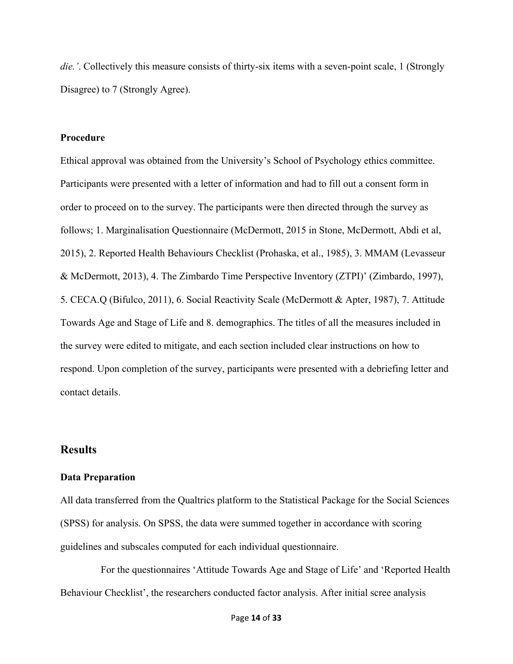*die.'*. Collectively this measure consists of thirty-six items with a seven-point scale, 1 (Strongly Disagree) to 7 (Strongly Agree).

### **Procedure**

Ethical approval was obtained from the University's School of Psychology ethics committee. Participants were presented with a letter of information and had to fill out a consent form in order to proceed on to the survey. The participants were then directed through the survey as follows; 1. Marginalisation Questionnaire (McDermott, 2015 in Stone, McDermott, Abdi et al, 2015), 2. Reported Health Behaviours Checklist (Prohaska, et al., 1985), 3. MMAM (Levasseur & McDermott, 2013), 4. The Zimbardo Time Perspective Inventory (ZTPI)' (Zimbardo, 1997), 5. CECA.Q (Bifulco, 2011), 6. Social Reactivity Scale (McDermott & Apter, 1987), 7. Attitude Towards Age and Stage of Life and 8. demographics. The titles of all the measures included in the survey were edited to mitigate, and each section included clear instructions on how to respond. Upon completion of the survey, participants were presented with a debriefing letter and contact details.

# **Results**

#### **Data Preparation**

All data transferred from the Qualtrics platform to the Statistical Package for the Social Sciences (SPSS) for analysis. On SPSS, the data were summed together in accordance with scoring guidelines and subscales computed for each individual questionnaire.

 For the questionnaires 'Attitude Towards Age and Stage of Life' and 'Reported Health Behaviour Checklist', the researchers conducted factor analysis. After initial scree analysis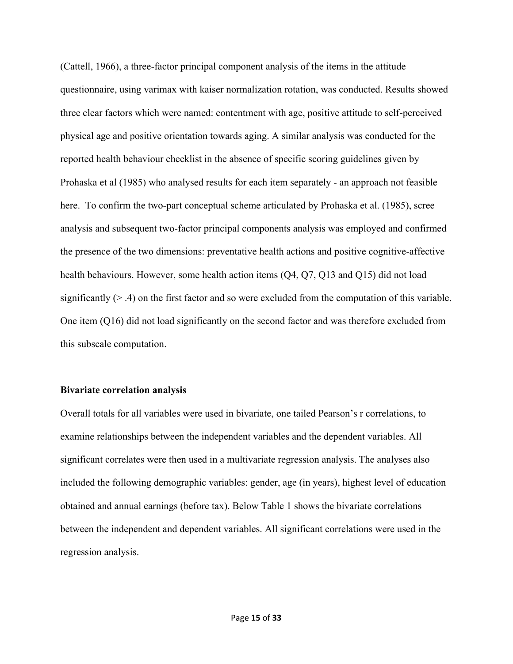(Cattell, 1966), a three-factor principal component analysis of the items in the attitude questionnaire, using varimax with kaiser normalization rotation, was conducted. Results showed three clear factors which were named: contentment with age, positive attitude to self-perceived physical age and positive orientation towards aging. A similar analysis was conducted for the reported health behaviour checklist in the absence of specific scoring guidelines given by Prohaska et al (1985) who analysed results for each item separately - an approach not feasible here. To confirm the two-part conceptual scheme articulated by Prohaska et al. (1985), scree analysis and subsequent two-factor principal components analysis was employed and confirmed the presence of the two dimensions: preventative health actions and positive cognitive-affective health behaviours. However, some health action items (Q4, Q7, Q13 and Q15) did not load significantly  $(> .4)$  on the first factor and so were excluded from the computation of this variable. One item (Q16) did not load significantly on the second factor and was therefore excluded from this subscale computation.

#### **Bivariate correlation analysis**

Overall totals for all variables were used in bivariate, one tailed Pearson's r correlations, to examine relationships between the independent variables and the dependent variables. All significant correlates were then used in a multivariate regression analysis. The analyses also included the following demographic variables: gender, age (in years), highest level of education obtained and annual earnings (before tax). Below Table 1 shows the bivariate correlations between the independent and dependent variables. All significant correlations were used in the regression analysis.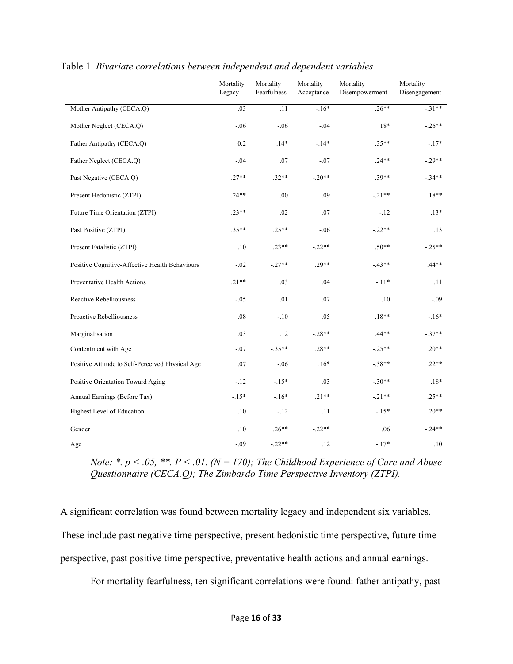|                                                  | Mortality<br>Legacy | Mortality<br>Fearfulness | Mortality<br>Acceptance | Mortality<br>Disempowerment | Mortality<br>Disengagement |
|--------------------------------------------------|---------------------|--------------------------|-------------------------|-----------------------------|----------------------------|
| Mother Antipathy (CECA.Q)                        | .03                 | .11                      | $-16*$                  | $.26***$                    | $-.31**$                   |
| Mother Neglect (CECA.Q)                          | $-.06$              | $-.06$                   | $-.04$                  | $.18*$                      | $-.26**$                   |
| Father Antipathy (CECA.Q)                        | 0.2                 | $.14*$                   | $-.14*$                 | $.35**$                     | $-.17*$                    |
| Father Neglect (CECA.Q)                          | $-.04$              | .07                      | $-.07$                  | $.24**$                     | $-.29**$                   |
| Past Negative (CECA.Q)                           | $.27**$             | $.32**$                  | $-.20**$                | $.39**$                     | $-.34**$                   |
| Present Hedonistic (ZTPI)                        | $.24**$             | .00                      | .09                     | $-.21**$                    | $.18**$                    |
| Future Time Orientation (ZTPI)                   | $.23**$             | .02                      | .07                     | $-12$                       | $.13*$                     |
| Past Positive (ZTPI)                             | $.35**$             | $.25**$                  | $-.06$                  | $-.22**$                    | .13                        |
| Present Fatalistic (ZTPI)                        | .10                 | $.23**$                  | $-.22**$                | $.50**$                     | $-.25**$                   |
| Positive Cognitive-Affective Health Behaviours   | $-.02$              | $-.27**$                 | $.29**$                 | $-.43**$                    | $.44**$                    |
| Preventative Health Actions                      | $.21**$             | .03                      | .04                     | $-.11*$                     | .11                        |
| Reactive Rebelliousness                          | $-.05$              | .01                      | .07                     | $.10$                       | $-.09$                     |
| Proactive Rebelliousness                         | .08                 | $-.10$                   | .05                     | $.18**$                     | $-.16*$                    |
| Marginalisation                                  | .03                 | .12                      | $-.28**$                | $.44**$                     | $-.37**$                   |
| Contentment with Age                             | $-.07$              | $-.35**$                 | $.28**$                 | $-.25**$                    | $.20**$                    |
| Positive Attitude to Self-Perceived Physical Age | .07                 | $-.06$                   | $.16*$                  | $-.38**$                    | $.22**$                    |
| Positive Orientation Toward Aging                | $-12$               | $-.15*$                  | .03                     | $-.30**$                    | $.18*$                     |
| Annual Earnings (Before Tax)                     | $-.15*$             | $-.16*$                  | $.21**$                 | $-.21**$                    | $.25**$                    |
| Highest Level of Education                       | $.10\,$             | $-.12$                   | .11                     | $-.15*$                     | $.20**$                    |
| Gender                                           | $.10\,$             | $.26**$                  | $-.22**$                | .06                         | $-.24**$                   |
| Age                                              | $-.09$              | $-.22**$                 | .12                     | $-.17*$                     | .10                        |

### Table 1. *Bivariate correlations between independent and dependent variables*

*Note: \*. p < .05, \*\*. P < .01. (N = 170); The Childhood Experience of Care and Abuse Questionnaire (CECA.Q); The Zimbardo Time Perspective Inventory (ZTPI).*

A significant correlation was found between mortality legacy and independent six variables. These include past negative time perspective, present hedonistic time perspective, future time perspective, past positive time perspective, preventative health actions and annual earnings.

For mortality fearfulness, ten significant correlations were found: father antipathy, past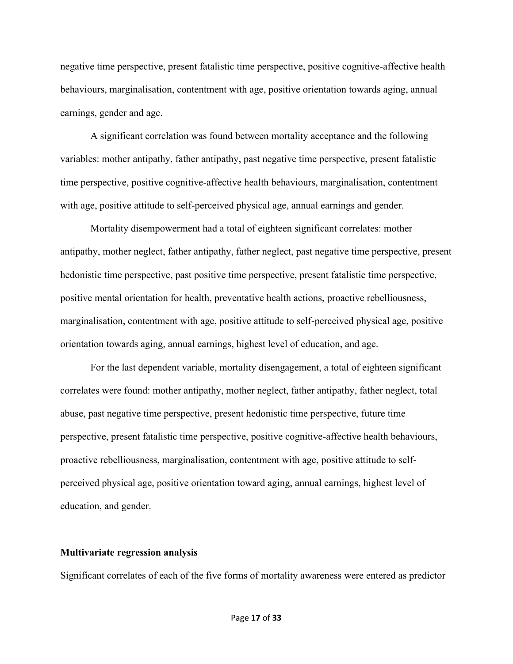negative time perspective, present fatalistic time perspective, positive cognitive-affective health behaviours, marginalisation, contentment with age, positive orientation towards aging, annual earnings, gender and age.

A significant correlation was found between mortality acceptance and the following variables: mother antipathy, father antipathy, past negative time perspective, present fatalistic time perspective, positive cognitive-affective health behaviours, marginalisation, contentment with age, positive attitude to self-perceived physical age, annual earnings and gender.

Mortality disempowerment had a total of eighteen significant correlates: mother antipathy, mother neglect, father antipathy, father neglect, past negative time perspective, present hedonistic time perspective, past positive time perspective, present fatalistic time perspective, positive mental orientation for health, preventative health actions, proactive rebelliousness, marginalisation, contentment with age, positive attitude to self-perceived physical age, positive orientation towards aging, annual earnings, highest level of education, and age.

For the last dependent variable, mortality disengagement, a total of eighteen significant correlates were found: mother antipathy, mother neglect, father antipathy, father neglect, total abuse, past negative time perspective, present hedonistic time perspective, future time perspective, present fatalistic time perspective, positive cognitive-affective health behaviours, proactive rebelliousness, marginalisation, contentment with age, positive attitude to selfperceived physical age, positive orientation toward aging, annual earnings, highest level of education, and gender.

### **Multivariate regression analysis**

Significant correlates of each of the five forms of mortality awareness were entered as predictor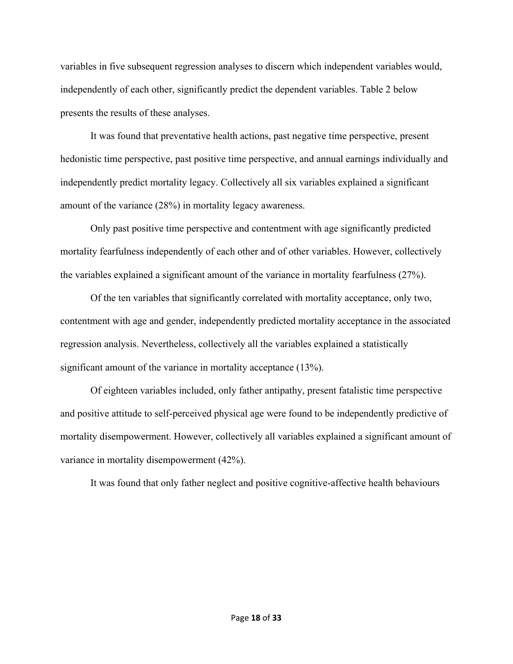variables in five subsequent regression analyses to discern which independent variables would, independently of each other, significantly predict the dependent variables. Table 2 below presents the results of these analyses.

It was found that preventative health actions, past negative time perspective, present hedonistic time perspective, past positive time perspective, and annual earnings individually and independently predict mortality legacy. Collectively all six variables explained a significant amount of the variance (28%) in mortality legacy awareness.

Only past positive time perspective and contentment with age significantly predicted mortality fearfulness independently of each other and of other variables. However, collectively the variables explained a significant amount of the variance in mortality fearfulness (27%).

Of the ten variables that significantly correlated with mortality acceptance, only two, contentment with age and gender, independently predicted mortality acceptance in the associated regression analysis. Nevertheless, collectively all the variables explained a statistically significant amount of the variance in mortality acceptance (13%).

Of eighteen variables included, only father antipathy, present fatalistic time perspective and positive attitude to self-perceived physical age were found to be independently predictive of mortality disempowerment. However, collectively all variables explained a significant amount of variance in mortality disempowerment (42%).

It was found that only father neglect and positive cognitive-affective health behaviours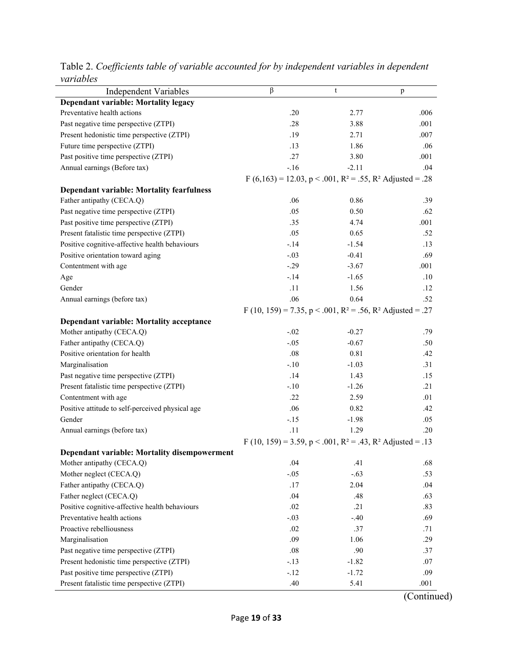| Dependant variable: Mortality legacy<br>Preventative health actions<br>.20<br>2.77<br>.006<br>Past negative time perspective (ZTPI)<br>.28<br>3.88<br>.001<br>Present hedonistic time perspective (ZTPI)<br>.19<br>2.71<br>.007<br>Future time perspective (ZTPI)<br>.13<br>1.86<br>.06<br>Past positive time perspective (ZTPI)<br>.27<br>3.80<br>.001<br>Annual earnings (Before tax)<br>$-.16$<br>$-2.11$<br>.04<br>F (6,163) = 12.03, p < .001, R <sup>2</sup> = .55, R <sup>2</sup> Adjusted = .28<br><b>Dependant variable: Mortality fearfulness</b><br>Father antipathy (CECA.Q)<br>0.86<br>.06<br>.39<br>Past negative time perspective (ZTPI)<br>.05<br>0.50<br>.62<br>Past positive time perspective (ZTPI)<br>.35<br>4.74<br>.001<br>Present fatalistic time perspective (ZTPI)<br>.05<br>0.65<br>.52<br>Positive cognitive-affective health behaviours<br>$-.14$<br>$-1.54$<br>.13<br>Positive orientation toward aging<br>$-.03$<br>$-0.41$<br>.69<br>Contentment with age<br>$-.29$<br>$-3.67$<br>.001<br>$-.14$<br>$-1.65$<br>.10<br>Age<br>Gender<br>.11<br>1.56<br>.12<br>.06<br>0.64<br>Annual earnings (before tax)<br>.52<br>F (10, 159) = 7.35, p < .001, R <sup>2</sup> = .56, R <sup>2</sup> Adjusted = .27<br>Dependant variable: Mortality acceptance<br>Mother antipathy (CECA.Q)<br>$-.02$<br>$-0.27$<br>.79<br>Father antipathy (CECA.Q)<br>$-.05$<br>$-0.67$<br>.50<br>Positive orientation for health<br>.08<br>0.81<br>.42<br>Marginalisation<br>$-.10$<br>$-1.03$<br>.31<br>Past negative time perspective (ZTPI)<br>.14<br>1.43<br>.15<br>Present fatalistic time perspective (ZTPI)<br>$-.10$<br>$-1.26$<br>.21<br>.22<br>Contentment with age<br>2.59<br>.01<br>Positive attitude to self-perceived physical age<br>0.82<br>.06<br>.42<br>$-.15$<br>Gender<br>$-1.98$<br>.05<br>Annual earnings (before tax)<br>.11<br>1.29<br>.20<br>F (10, 159) = 3.59, p < .001, R <sup>2</sup> = .43, R <sup>2</sup> Adjusted = .13<br>Dependant variable: Mortality disempowerment<br>Mother antipathy (CECA.Q)<br>.04<br>.41<br>.68<br>Mother neglect (CECA.Q)<br>$-.63$<br>$-.05$<br>.53<br>Father antipathy (CECA.Q)<br>.17<br>2.04<br>.04<br>Father neglect (CECA.Q)<br>.04<br>.48<br>.63<br>Positive cognitive-affective health behaviours<br>.02<br>.21<br>.83<br>Preventative health actions<br>$-.40$<br>$-.03$<br>.69<br>Proactive rebelliousness<br>.02<br>.37<br>.71<br>Marginalisation<br>1.06<br>.09<br>.29<br>.90<br>Past negative time perspective (ZTPI)<br>.08<br>.37<br>Present hedonistic time perspective (ZTPI)<br>$-.13$<br>$-1.82$<br>.07<br>Past positive time perspective (ZTPI)<br>$-1.72$<br>$-.12$<br>.09 | <b>Independent Variables</b>               | β   | $\mathsf t$ | p    |  |  |
|----------------------------------------------------------------------------------------------------------------------------------------------------------------------------------------------------------------------------------------------------------------------------------------------------------------------------------------------------------------------------------------------------------------------------------------------------------------------------------------------------------------------------------------------------------------------------------------------------------------------------------------------------------------------------------------------------------------------------------------------------------------------------------------------------------------------------------------------------------------------------------------------------------------------------------------------------------------------------------------------------------------------------------------------------------------------------------------------------------------------------------------------------------------------------------------------------------------------------------------------------------------------------------------------------------------------------------------------------------------------------------------------------------------------------------------------------------------------------------------------------------------------------------------------------------------------------------------------------------------------------------------------------------------------------------------------------------------------------------------------------------------------------------------------------------------------------------------------------------------------------------------------------------------------------------------------------------------------------------------------------------------------------------------------------------------------------------------------------------------------------------------------------------------------------------------------------------------------------------------------------------------------------------------------------------------------------------------------------------------------------------------------------------------------------------------------------------------------------------------------------------------------------------------------------------------------------------------------------------------------------------------------------------------|--------------------------------------------|-----|-------------|------|--|--|
|                                                                                                                                                                                                                                                                                                                                                                                                                                                                                                                                                                                                                                                                                                                                                                                                                                                                                                                                                                                                                                                                                                                                                                                                                                                                                                                                                                                                                                                                                                                                                                                                                                                                                                                                                                                                                                                                                                                                                                                                                                                                                                                                                                                                                                                                                                                                                                                                                                                                                                                                                                                                                                                                |                                            |     |             |      |  |  |
|                                                                                                                                                                                                                                                                                                                                                                                                                                                                                                                                                                                                                                                                                                                                                                                                                                                                                                                                                                                                                                                                                                                                                                                                                                                                                                                                                                                                                                                                                                                                                                                                                                                                                                                                                                                                                                                                                                                                                                                                                                                                                                                                                                                                                                                                                                                                                                                                                                                                                                                                                                                                                                                                |                                            |     |             |      |  |  |
|                                                                                                                                                                                                                                                                                                                                                                                                                                                                                                                                                                                                                                                                                                                                                                                                                                                                                                                                                                                                                                                                                                                                                                                                                                                                                                                                                                                                                                                                                                                                                                                                                                                                                                                                                                                                                                                                                                                                                                                                                                                                                                                                                                                                                                                                                                                                                                                                                                                                                                                                                                                                                                                                |                                            |     |             |      |  |  |
|                                                                                                                                                                                                                                                                                                                                                                                                                                                                                                                                                                                                                                                                                                                                                                                                                                                                                                                                                                                                                                                                                                                                                                                                                                                                                                                                                                                                                                                                                                                                                                                                                                                                                                                                                                                                                                                                                                                                                                                                                                                                                                                                                                                                                                                                                                                                                                                                                                                                                                                                                                                                                                                                |                                            |     |             |      |  |  |
|                                                                                                                                                                                                                                                                                                                                                                                                                                                                                                                                                                                                                                                                                                                                                                                                                                                                                                                                                                                                                                                                                                                                                                                                                                                                                                                                                                                                                                                                                                                                                                                                                                                                                                                                                                                                                                                                                                                                                                                                                                                                                                                                                                                                                                                                                                                                                                                                                                                                                                                                                                                                                                                                |                                            |     |             |      |  |  |
|                                                                                                                                                                                                                                                                                                                                                                                                                                                                                                                                                                                                                                                                                                                                                                                                                                                                                                                                                                                                                                                                                                                                                                                                                                                                                                                                                                                                                                                                                                                                                                                                                                                                                                                                                                                                                                                                                                                                                                                                                                                                                                                                                                                                                                                                                                                                                                                                                                                                                                                                                                                                                                                                |                                            |     |             |      |  |  |
|                                                                                                                                                                                                                                                                                                                                                                                                                                                                                                                                                                                                                                                                                                                                                                                                                                                                                                                                                                                                                                                                                                                                                                                                                                                                                                                                                                                                                                                                                                                                                                                                                                                                                                                                                                                                                                                                                                                                                                                                                                                                                                                                                                                                                                                                                                                                                                                                                                                                                                                                                                                                                                                                |                                            |     |             |      |  |  |
|                                                                                                                                                                                                                                                                                                                                                                                                                                                                                                                                                                                                                                                                                                                                                                                                                                                                                                                                                                                                                                                                                                                                                                                                                                                                                                                                                                                                                                                                                                                                                                                                                                                                                                                                                                                                                                                                                                                                                                                                                                                                                                                                                                                                                                                                                                                                                                                                                                                                                                                                                                                                                                                                |                                            |     |             |      |  |  |
|                                                                                                                                                                                                                                                                                                                                                                                                                                                                                                                                                                                                                                                                                                                                                                                                                                                                                                                                                                                                                                                                                                                                                                                                                                                                                                                                                                                                                                                                                                                                                                                                                                                                                                                                                                                                                                                                                                                                                                                                                                                                                                                                                                                                                                                                                                                                                                                                                                                                                                                                                                                                                                                                |                                            |     |             |      |  |  |
|                                                                                                                                                                                                                                                                                                                                                                                                                                                                                                                                                                                                                                                                                                                                                                                                                                                                                                                                                                                                                                                                                                                                                                                                                                                                                                                                                                                                                                                                                                                                                                                                                                                                                                                                                                                                                                                                                                                                                                                                                                                                                                                                                                                                                                                                                                                                                                                                                                                                                                                                                                                                                                                                |                                            |     |             |      |  |  |
|                                                                                                                                                                                                                                                                                                                                                                                                                                                                                                                                                                                                                                                                                                                                                                                                                                                                                                                                                                                                                                                                                                                                                                                                                                                                                                                                                                                                                                                                                                                                                                                                                                                                                                                                                                                                                                                                                                                                                                                                                                                                                                                                                                                                                                                                                                                                                                                                                                                                                                                                                                                                                                                                |                                            |     |             |      |  |  |
|                                                                                                                                                                                                                                                                                                                                                                                                                                                                                                                                                                                                                                                                                                                                                                                                                                                                                                                                                                                                                                                                                                                                                                                                                                                                                                                                                                                                                                                                                                                                                                                                                                                                                                                                                                                                                                                                                                                                                                                                                                                                                                                                                                                                                                                                                                                                                                                                                                                                                                                                                                                                                                                                |                                            |     |             |      |  |  |
|                                                                                                                                                                                                                                                                                                                                                                                                                                                                                                                                                                                                                                                                                                                                                                                                                                                                                                                                                                                                                                                                                                                                                                                                                                                                                                                                                                                                                                                                                                                                                                                                                                                                                                                                                                                                                                                                                                                                                                                                                                                                                                                                                                                                                                                                                                                                                                                                                                                                                                                                                                                                                                                                |                                            |     |             |      |  |  |
|                                                                                                                                                                                                                                                                                                                                                                                                                                                                                                                                                                                                                                                                                                                                                                                                                                                                                                                                                                                                                                                                                                                                                                                                                                                                                                                                                                                                                                                                                                                                                                                                                                                                                                                                                                                                                                                                                                                                                                                                                                                                                                                                                                                                                                                                                                                                                                                                                                                                                                                                                                                                                                                                |                                            |     |             |      |  |  |
|                                                                                                                                                                                                                                                                                                                                                                                                                                                                                                                                                                                                                                                                                                                                                                                                                                                                                                                                                                                                                                                                                                                                                                                                                                                                                                                                                                                                                                                                                                                                                                                                                                                                                                                                                                                                                                                                                                                                                                                                                                                                                                                                                                                                                                                                                                                                                                                                                                                                                                                                                                                                                                                                |                                            |     |             |      |  |  |
|                                                                                                                                                                                                                                                                                                                                                                                                                                                                                                                                                                                                                                                                                                                                                                                                                                                                                                                                                                                                                                                                                                                                                                                                                                                                                                                                                                                                                                                                                                                                                                                                                                                                                                                                                                                                                                                                                                                                                                                                                                                                                                                                                                                                                                                                                                                                                                                                                                                                                                                                                                                                                                                                |                                            |     |             |      |  |  |
|                                                                                                                                                                                                                                                                                                                                                                                                                                                                                                                                                                                                                                                                                                                                                                                                                                                                                                                                                                                                                                                                                                                                                                                                                                                                                                                                                                                                                                                                                                                                                                                                                                                                                                                                                                                                                                                                                                                                                                                                                                                                                                                                                                                                                                                                                                                                                                                                                                                                                                                                                                                                                                                                |                                            |     |             |      |  |  |
|                                                                                                                                                                                                                                                                                                                                                                                                                                                                                                                                                                                                                                                                                                                                                                                                                                                                                                                                                                                                                                                                                                                                                                                                                                                                                                                                                                                                                                                                                                                                                                                                                                                                                                                                                                                                                                                                                                                                                                                                                                                                                                                                                                                                                                                                                                                                                                                                                                                                                                                                                                                                                                                                |                                            |     |             |      |  |  |
|                                                                                                                                                                                                                                                                                                                                                                                                                                                                                                                                                                                                                                                                                                                                                                                                                                                                                                                                                                                                                                                                                                                                                                                                                                                                                                                                                                                                                                                                                                                                                                                                                                                                                                                                                                                                                                                                                                                                                                                                                                                                                                                                                                                                                                                                                                                                                                                                                                                                                                                                                                                                                                                                |                                            |     |             |      |  |  |
|                                                                                                                                                                                                                                                                                                                                                                                                                                                                                                                                                                                                                                                                                                                                                                                                                                                                                                                                                                                                                                                                                                                                                                                                                                                                                                                                                                                                                                                                                                                                                                                                                                                                                                                                                                                                                                                                                                                                                                                                                                                                                                                                                                                                                                                                                                                                                                                                                                                                                                                                                                                                                                                                |                                            |     |             |      |  |  |
|                                                                                                                                                                                                                                                                                                                                                                                                                                                                                                                                                                                                                                                                                                                                                                                                                                                                                                                                                                                                                                                                                                                                                                                                                                                                                                                                                                                                                                                                                                                                                                                                                                                                                                                                                                                                                                                                                                                                                                                                                                                                                                                                                                                                                                                                                                                                                                                                                                                                                                                                                                                                                                                                |                                            |     |             |      |  |  |
|                                                                                                                                                                                                                                                                                                                                                                                                                                                                                                                                                                                                                                                                                                                                                                                                                                                                                                                                                                                                                                                                                                                                                                                                                                                                                                                                                                                                                                                                                                                                                                                                                                                                                                                                                                                                                                                                                                                                                                                                                                                                                                                                                                                                                                                                                                                                                                                                                                                                                                                                                                                                                                                                |                                            |     |             |      |  |  |
|                                                                                                                                                                                                                                                                                                                                                                                                                                                                                                                                                                                                                                                                                                                                                                                                                                                                                                                                                                                                                                                                                                                                                                                                                                                                                                                                                                                                                                                                                                                                                                                                                                                                                                                                                                                                                                                                                                                                                                                                                                                                                                                                                                                                                                                                                                                                                                                                                                                                                                                                                                                                                                                                |                                            |     |             |      |  |  |
|                                                                                                                                                                                                                                                                                                                                                                                                                                                                                                                                                                                                                                                                                                                                                                                                                                                                                                                                                                                                                                                                                                                                                                                                                                                                                                                                                                                                                                                                                                                                                                                                                                                                                                                                                                                                                                                                                                                                                                                                                                                                                                                                                                                                                                                                                                                                                                                                                                                                                                                                                                                                                                                                |                                            |     |             |      |  |  |
|                                                                                                                                                                                                                                                                                                                                                                                                                                                                                                                                                                                                                                                                                                                                                                                                                                                                                                                                                                                                                                                                                                                                                                                                                                                                                                                                                                                                                                                                                                                                                                                                                                                                                                                                                                                                                                                                                                                                                                                                                                                                                                                                                                                                                                                                                                                                                                                                                                                                                                                                                                                                                                                                |                                            |     |             |      |  |  |
|                                                                                                                                                                                                                                                                                                                                                                                                                                                                                                                                                                                                                                                                                                                                                                                                                                                                                                                                                                                                                                                                                                                                                                                                                                                                                                                                                                                                                                                                                                                                                                                                                                                                                                                                                                                                                                                                                                                                                                                                                                                                                                                                                                                                                                                                                                                                                                                                                                                                                                                                                                                                                                                                |                                            |     |             |      |  |  |
|                                                                                                                                                                                                                                                                                                                                                                                                                                                                                                                                                                                                                                                                                                                                                                                                                                                                                                                                                                                                                                                                                                                                                                                                                                                                                                                                                                                                                                                                                                                                                                                                                                                                                                                                                                                                                                                                                                                                                                                                                                                                                                                                                                                                                                                                                                                                                                                                                                                                                                                                                                                                                                                                |                                            |     |             |      |  |  |
|                                                                                                                                                                                                                                                                                                                                                                                                                                                                                                                                                                                                                                                                                                                                                                                                                                                                                                                                                                                                                                                                                                                                                                                                                                                                                                                                                                                                                                                                                                                                                                                                                                                                                                                                                                                                                                                                                                                                                                                                                                                                                                                                                                                                                                                                                                                                                                                                                                                                                                                                                                                                                                                                |                                            |     |             |      |  |  |
|                                                                                                                                                                                                                                                                                                                                                                                                                                                                                                                                                                                                                                                                                                                                                                                                                                                                                                                                                                                                                                                                                                                                                                                                                                                                                                                                                                                                                                                                                                                                                                                                                                                                                                                                                                                                                                                                                                                                                                                                                                                                                                                                                                                                                                                                                                                                                                                                                                                                                                                                                                                                                                                                |                                            |     |             |      |  |  |
|                                                                                                                                                                                                                                                                                                                                                                                                                                                                                                                                                                                                                                                                                                                                                                                                                                                                                                                                                                                                                                                                                                                                                                                                                                                                                                                                                                                                                                                                                                                                                                                                                                                                                                                                                                                                                                                                                                                                                                                                                                                                                                                                                                                                                                                                                                                                                                                                                                                                                                                                                                                                                                                                |                                            |     |             |      |  |  |
|                                                                                                                                                                                                                                                                                                                                                                                                                                                                                                                                                                                                                                                                                                                                                                                                                                                                                                                                                                                                                                                                                                                                                                                                                                                                                                                                                                                                                                                                                                                                                                                                                                                                                                                                                                                                                                                                                                                                                                                                                                                                                                                                                                                                                                                                                                                                                                                                                                                                                                                                                                                                                                                                |                                            |     |             |      |  |  |
|                                                                                                                                                                                                                                                                                                                                                                                                                                                                                                                                                                                                                                                                                                                                                                                                                                                                                                                                                                                                                                                                                                                                                                                                                                                                                                                                                                                                                                                                                                                                                                                                                                                                                                                                                                                                                                                                                                                                                                                                                                                                                                                                                                                                                                                                                                                                                                                                                                                                                                                                                                                                                                                                |                                            |     |             |      |  |  |
|                                                                                                                                                                                                                                                                                                                                                                                                                                                                                                                                                                                                                                                                                                                                                                                                                                                                                                                                                                                                                                                                                                                                                                                                                                                                                                                                                                                                                                                                                                                                                                                                                                                                                                                                                                                                                                                                                                                                                                                                                                                                                                                                                                                                                                                                                                                                                                                                                                                                                                                                                                                                                                                                |                                            |     |             |      |  |  |
|                                                                                                                                                                                                                                                                                                                                                                                                                                                                                                                                                                                                                                                                                                                                                                                                                                                                                                                                                                                                                                                                                                                                                                                                                                                                                                                                                                                                                                                                                                                                                                                                                                                                                                                                                                                                                                                                                                                                                                                                                                                                                                                                                                                                                                                                                                                                                                                                                                                                                                                                                                                                                                                                |                                            |     |             |      |  |  |
|                                                                                                                                                                                                                                                                                                                                                                                                                                                                                                                                                                                                                                                                                                                                                                                                                                                                                                                                                                                                                                                                                                                                                                                                                                                                                                                                                                                                                                                                                                                                                                                                                                                                                                                                                                                                                                                                                                                                                                                                                                                                                                                                                                                                                                                                                                                                                                                                                                                                                                                                                                                                                                                                |                                            |     |             |      |  |  |
|                                                                                                                                                                                                                                                                                                                                                                                                                                                                                                                                                                                                                                                                                                                                                                                                                                                                                                                                                                                                                                                                                                                                                                                                                                                                                                                                                                                                                                                                                                                                                                                                                                                                                                                                                                                                                                                                                                                                                                                                                                                                                                                                                                                                                                                                                                                                                                                                                                                                                                                                                                                                                                                                |                                            |     |             |      |  |  |
|                                                                                                                                                                                                                                                                                                                                                                                                                                                                                                                                                                                                                                                                                                                                                                                                                                                                                                                                                                                                                                                                                                                                                                                                                                                                                                                                                                                                                                                                                                                                                                                                                                                                                                                                                                                                                                                                                                                                                                                                                                                                                                                                                                                                                                                                                                                                                                                                                                                                                                                                                                                                                                                                |                                            |     |             |      |  |  |
|                                                                                                                                                                                                                                                                                                                                                                                                                                                                                                                                                                                                                                                                                                                                                                                                                                                                                                                                                                                                                                                                                                                                                                                                                                                                                                                                                                                                                                                                                                                                                                                                                                                                                                                                                                                                                                                                                                                                                                                                                                                                                                                                                                                                                                                                                                                                                                                                                                                                                                                                                                                                                                                                |                                            |     |             |      |  |  |
|                                                                                                                                                                                                                                                                                                                                                                                                                                                                                                                                                                                                                                                                                                                                                                                                                                                                                                                                                                                                                                                                                                                                                                                                                                                                                                                                                                                                                                                                                                                                                                                                                                                                                                                                                                                                                                                                                                                                                                                                                                                                                                                                                                                                                                                                                                                                                                                                                                                                                                                                                                                                                                                                |                                            |     |             |      |  |  |
|                                                                                                                                                                                                                                                                                                                                                                                                                                                                                                                                                                                                                                                                                                                                                                                                                                                                                                                                                                                                                                                                                                                                                                                                                                                                                                                                                                                                                                                                                                                                                                                                                                                                                                                                                                                                                                                                                                                                                                                                                                                                                                                                                                                                                                                                                                                                                                                                                                                                                                                                                                                                                                                                |                                            |     |             |      |  |  |
|                                                                                                                                                                                                                                                                                                                                                                                                                                                                                                                                                                                                                                                                                                                                                                                                                                                                                                                                                                                                                                                                                                                                                                                                                                                                                                                                                                                                                                                                                                                                                                                                                                                                                                                                                                                                                                                                                                                                                                                                                                                                                                                                                                                                                                                                                                                                                                                                                                                                                                                                                                                                                                                                |                                            |     |             |      |  |  |
|                                                                                                                                                                                                                                                                                                                                                                                                                                                                                                                                                                                                                                                                                                                                                                                                                                                                                                                                                                                                                                                                                                                                                                                                                                                                                                                                                                                                                                                                                                                                                                                                                                                                                                                                                                                                                                                                                                                                                                                                                                                                                                                                                                                                                                                                                                                                                                                                                                                                                                                                                                                                                                                                |                                            |     |             |      |  |  |
|                                                                                                                                                                                                                                                                                                                                                                                                                                                                                                                                                                                                                                                                                                                                                                                                                                                                                                                                                                                                                                                                                                                                                                                                                                                                                                                                                                                                                                                                                                                                                                                                                                                                                                                                                                                                                                                                                                                                                                                                                                                                                                                                                                                                                                                                                                                                                                                                                                                                                                                                                                                                                                                                |                                            |     |             |      |  |  |
|                                                                                                                                                                                                                                                                                                                                                                                                                                                                                                                                                                                                                                                                                                                                                                                                                                                                                                                                                                                                                                                                                                                                                                                                                                                                                                                                                                                                                                                                                                                                                                                                                                                                                                                                                                                                                                                                                                                                                                                                                                                                                                                                                                                                                                                                                                                                                                                                                                                                                                                                                                                                                                                                |                                            |     |             |      |  |  |
|                                                                                                                                                                                                                                                                                                                                                                                                                                                                                                                                                                                                                                                                                                                                                                                                                                                                                                                                                                                                                                                                                                                                                                                                                                                                                                                                                                                                                                                                                                                                                                                                                                                                                                                                                                                                                                                                                                                                                                                                                                                                                                                                                                                                                                                                                                                                                                                                                                                                                                                                                                                                                                                                | Present fatalistic time perspective (ZTPI) | .40 | 5.41        | .001 |  |  |

Table 2. *Coefficients table of variable accounted for by independent variables in dependent variables* 

(Continued)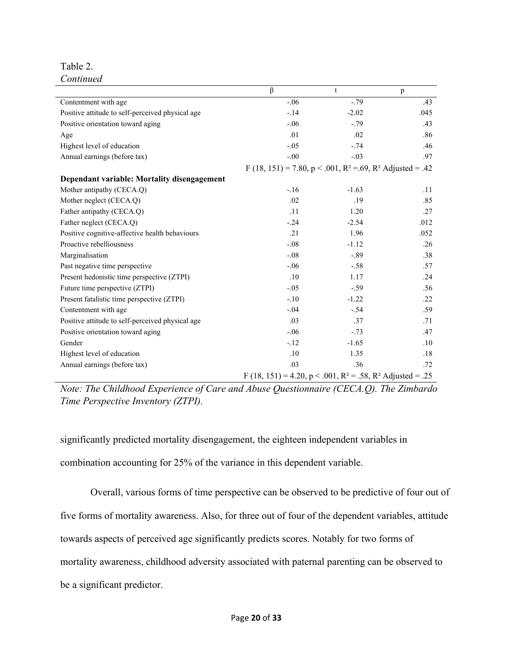Table 2. *Continued*

|                                                  | $\beta$                                                                           | t       | p    |
|--------------------------------------------------|-----------------------------------------------------------------------------------|---------|------|
| Contentment with age                             | $-.06$                                                                            | $-.79$  | .43  |
| Positive attitude to self-perceived physical age | $-.14$                                                                            | $-2.02$ | .045 |
| Positive orientation toward aging                | $-.06$                                                                            | $-.79$  | .43  |
| Age                                              | .01                                                                               | .02     | .86  |
| Highest level of education                       | $-.05$                                                                            | $-.74$  | .46  |
| Annual earnings (before tax)                     | $-.00$                                                                            | $-.03$  | .97  |
|                                                  | F (18, 151) = 7.80, p < .001, R <sup>2</sup> = .69, R <sup>2</sup> Adjusted = .42 |         |      |
| Dependant variable: Mortality disengagement      |                                                                                   |         |      |
| Mother antipathy (CECA.Q)                        | $-.16$                                                                            | $-1.63$ | .11  |
| Mother neglect (CECA.Q)                          | .02                                                                               | .19     | .85  |
| Father antipathy (CECA.Q)                        | .11                                                                               | 1.20    | .27  |
| Father neglect (CECA.Q)                          | $-.24$                                                                            | $-2.54$ | .012 |
| Positive cognitive-affective health behaviours   | .21                                                                               | 1.96    | .052 |
| Proactive rebelliousness                         | $-.08$                                                                            | $-1.12$ | .26  |
| Marginalisation                                  | $-.08$                                                                            | $-.89$  | .38  |
| Past negative time perspective                   | $-.06$                                                                            | $-.58$  | .57  |
| Present hedonistic time perspective (ZTPI)       | .10                                                                               | 1.17    | .24  |
| Future time perspective (ZTPI)                   | $-.05$                                                                            | $-.59$  | .56  |
| Present fatalistic time perspective (ZTPI)       | $-.10$                                                                            | $-1.22$ | .22  |
| Contentment with age                             | $-.04$                                                                            | $-.54$  | .59  |
| Positive attitude to self-perceived physical age | .03                                                                               | .37     | .71  |
| Positive orientation toward aging                | $-.06$                                                                            | $-.73$  | .47  |
| Gender                                           | $-.12$                                                                            | $-1.65$ | .10  |
| Highest level of education                       | .10                                                                               | 1.35    | .18  |
| Annual earnings (before tax)                     | .03                                                                               | .36     | .72  |
|                                                  | F (18, 151) = 4.20, p < .001, R <sup>2</sup> = .58, R <sup>2</sup> Adjusted = .25 |         |      |

*Note: The Childhood Experience of Care and Abuse Questionnaire (CECA.Q). The Zimbardo Time Perspective Inventory (ZTPI).*

significantly predicted mortality disengagement, the eighteen independent variables in

combination accounting for 25% of the variance in this dependent variable.

Overall, various forms of time perspective can be observed to be predictive of four out of

five forms of mortality awareness. Also, for three out of four of the dependent variables, attitude

towards aspects of perceived age significantly predicts scores. Notably for two forms of

mortality awareness, childhood adversity associated with paternal parenting can be observed to

be a significant predictor.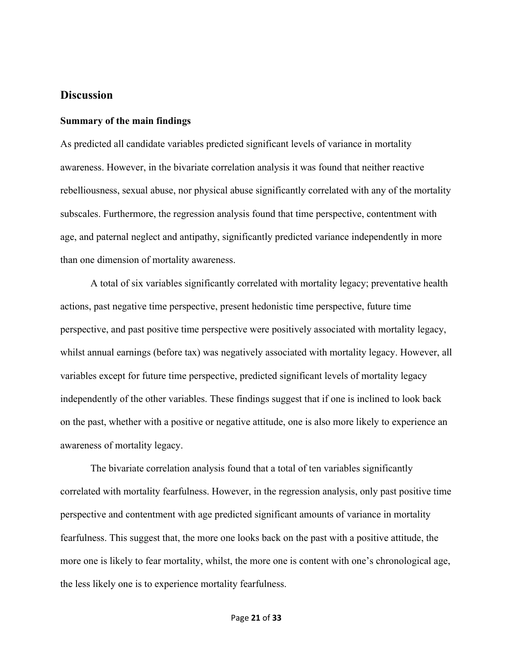# **Discussion**

#### **Summary of the main findings**

As predicted all candidate variables predicted significant levels of variance in mortality awareness. However, in the bivariate correlation analysis it was found that neither reactive rebelliousness, sexual abuse, nor physical abuse significantly correlated with any of the mortality subscales. Furthermore, the regression analysis found that time perspective, contentment with age, and paternal neglect and antipathy, significantly predicted variance independently in more than one dimension of mortality awareness.

A total of six variables significantly correlated with mortality legacy; preventative health actions, past negative time perspective, present hedonistic time perspective, future time perspective, and past positive time perspective were positively associated with mortality legacy, whilst annual earnings (before tax) was negatively associated with mortality legacy. However, all variables except for future time perspective, predicted significant levels of mortality legacy independently of the other variables. These findings suggest that if one is inclined to look back on the past, whether with a positive or negative attitude, one is also more likely to experience an awareness of mortality legacy.

The bivariate correlation analysis found that a total of ten variables significantly correlated with mortality fearfulness. However, in the regression analysis, only past positive time perspective and contentment with age predicted significant amounts of variance in mortality fearfulness. This suggest that, the more one looks back on the past with a positive attitude, the more one is likely to fear mortality, whilst, the more one is content with one's chronological age, the less likely one is to experience mortality fearfulness.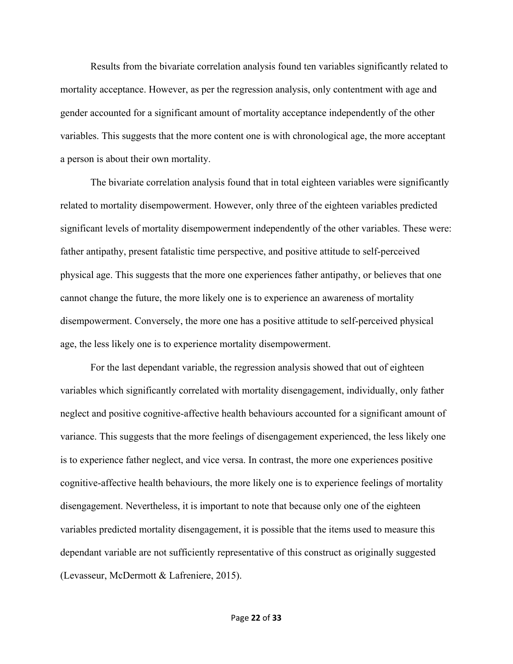Results from the bivariate correlation analysis found ten variables significantly related to mortality acceptance. However, as per the regression analysis, only contentment with age and gender accounted for a significant amount of mortality acceptance independently of the other variables. This suggests that the more content one is with chronological age, the more acceptant a person is about their own mortality.

The bivariate correlation analysis found that in total eighteen variables were significantly related to mortality disempowerment. However, only three of the eighteen variables predicted significant levels of mortality disempowerment independently of the other variables. These were: father antipathy, present fatalistic time perspective, and positive attitude to self-perceived physical age. This suggests that the more one experiences father antipathy, or believes that one cannot change the future, the more likely one is to experience an awareness of mortality disempowerment. Conversely, the more one has a positive attitude to self-perceived physical age, the less likely one is to experience mortality disempowerment.

For the last dependant variable, the regression analysis showed that out of eighteen variables which significantly correlated with mortality disengagement, individually, only father neglect and positive cognitive-affective health behaviours accounted for a significant amount of variance. This suggests that the more feelings of disengagement experienced, the less likely one is to experience father neglect, and vice versa. In contrast, the more one experiences positive cognitive-affective health behaviours, the more likely one is to experience feelings of mortality disengagement. Nevertheless, it is important to note that because only one of the eighteen variables predicted mortality disengagement, it is possible that the items used to measure this dependant variable are not sufficiently representative of this construct as originally suggested (Levasseur, McDermott & Lafreniere, 2015).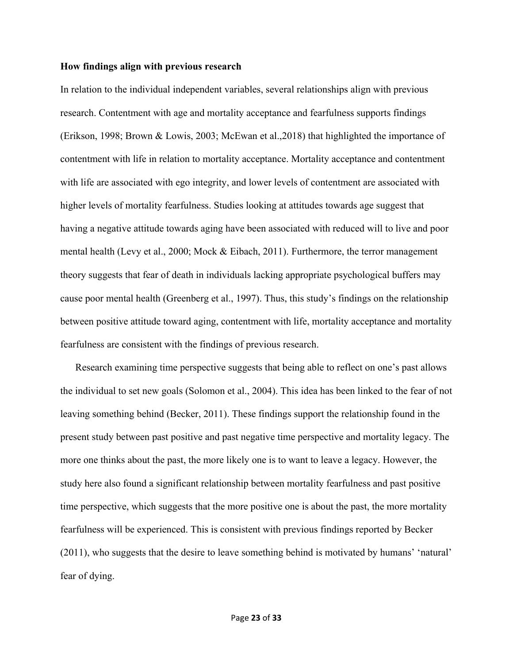#### **How findings align with previous research**

In relation to the individual independent variables, several relationships align with previous research. Contentment with age and mortality acceptance and fearfulness supports findings (Erikson, 1998; Brown & Lowis, 2003; McEwan et al.,2018) that highlighted the importance of contentment with life in relation to mortality acceptance. Mortality acceptance and contentment with life are associated with ego integrity, and lower levels of contentment are associated with higher levels of mortality fearfulness. Studies looking at attitudes towards age suggest that having a negative attitude towards aging have been associated with reduced will to live and poor mental health (Levy et al., 2000; Mock & Eibach, 2011). Furthermore, the terror management theory suggests that fear of death in individuals lacking appropriate psychological buffers may cause poor mental health (Greenberg et al., 1997). Thus, this study's findings on the relationship between positive attitude toward aging, contentment with life, mortality acceptance and mortality fearfulness are consistent with the findings of previous research.

Research examining time perspective suggests that being able to reflect on one's past allows the individual to set new goals (Solomon et al., 2004). This idea has been linked to the fear of not leaving something behind (Becker, 2011). These findings support the relationship found in the present study between past positive and past negative time perspective and mortality legacy. The more one thinks about the past, the more likely one is to want to leave a legacy. However, the study here also found a significant relationship between mortality fearfulness and past positive time perspective, which suggests that the more positive one is about the past, the more mortality fearfulness will be experienced. This is consistent with previous findings reported by Becker (2011), who suggests that the desire to leave something behind is motivated by humans' 'natural' fear of dying.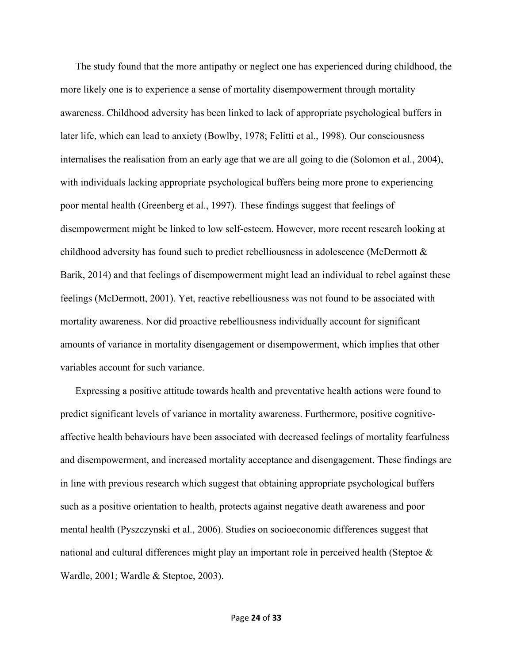The study found that the more antipathy or neglect one has experienced during childhood, the more likely one is to experience a sense of mortality disempowerment through mortality awareness. Childhood adversity has been linked to lack of appropriate psychological buffers in later life, which can lead to anxiety (Bowlby, 1978; Felitti et al., 1998). Our consciousness internalises the realisation from an early age that we are all going to die (Solomon et al., 2004), with individuals lacking appropriate psychological buffers being more prone to experiencing poor mental health (Greenberg et al., 1997). These findings suggest that feelings of disempowerment might be linked to low self-esteem. However, more recent research looking at childhood adversity has found such to predict rebelliousness in adolescence (McDermott & Barik, 2014) and that feelings of disempowerment might lead an individual to rebel against these feelings (McDermott, 2001). Yet, reactive rebelliousness was not found to be associated with mortality awareness. Nor did proactive rebelliousness individually account for significant amounts of variance in mortality disengagement or disempowerment, which implies that other variables account for such variance.

Expressing a positive attitude towards health and preventative health actions were found to predict significant levels of variance in mortality awareness. Furthermore, positive cognitiveaffective health behaviours have been associated with decreased feelings of mortality fearfulness and disempowerment, and increased mortality acceptance and disengagement. These findings are in line with previous research which suggest that obtaining appropriate psychological buffers such as a positive orientation to health, protects against negative death awareness and poor mental health (Pyszczynski et al., 2006). Studies on socioeconomic differences suggest that national and cultural differences might play an important role in perceived health (Steptoe & Wardle, 2001; Wardle & Steptoe, 2003).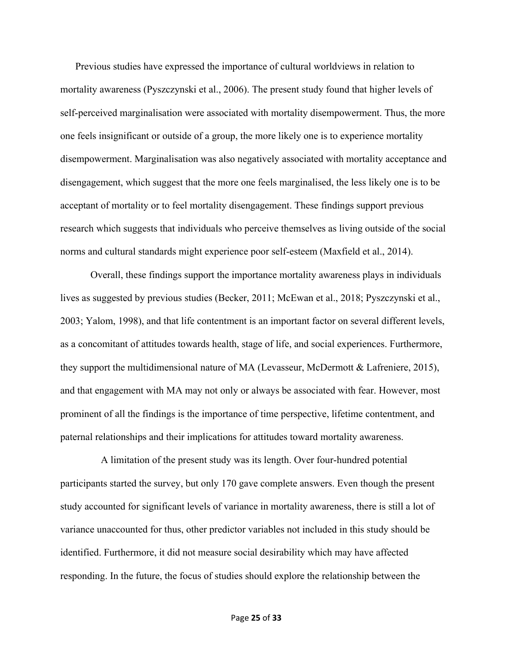Previous studies have expressed the importance of cultural worldviews in relation to mortality awareness (Pyszczynski et al., 2006). The present study found that higher levels of self-perceived marginalisation were associated with mortality disempowerment. Thus, the more one feels insignificant or outside of a group, the more likely one is to experience mortality disempowerment. Marginalisation was also negatively associated with mortality acceptance and disengagement, which suggest that the more one feels marginalised, the less likely one is to be acceptant of mortality or to feel mortality disengagement. These findings support previous research which suggests that individuals who perceive themselves as living outside of the social norms and cultural standards might experience poor self-esteem (Maxfield et al., 2014).

Overall, these findings support the importance mortality awareness plays in individuals lives as suggested by previous studies (Becker, 2011; McEwan et al., 2018; Pyszczynski et al., 2003; Yalom, 1998), and that life contentment is an important factor on several different levels, as a concomitant of attitudes towards health, stage of life, and social experiences. Furthermore, they support the multidimensional nature of MA (Levasseur, McDermott & Lafreniere, 2015), and that engagement with MA may not only or always be associated with fear. However, most prominent of all the findings is the importance of time perspective, lifetime contentment, and paternal relationships and their implications for attitudes toward mortality awareness.

 A limitation of the present study was its length. Over four-hundred potential participants started the survey, but only 170 gave complete answers. Even though the present study accounted for significant levels of variance in mortality awareness, there is still a lot of variance unaccounted for thus, other predictor variables not included in this study should be identified. Furthermore, it did not measure social desirability which may have affected responding. In the future, the focus of studies should explore the relationship between the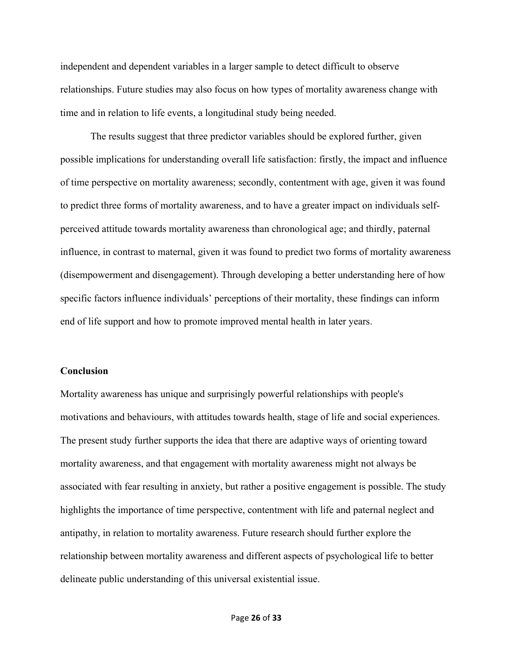independent and dependent variables in a larger sample to detect difficult to observe relationships. Future studies may also focus on how types of mortality awareness change with time and in relation to life events, a longitudinal study being needed.

The results suggest that three predictor variables should be explored further, given possible implications for understanding overall life satisfaction: firstly, the impact and influence of time perspective on mortality awareness; secondly, contentment with age, given it was found to predict three forms of mortality awareness, and to have a greater impact on individuals selfperceived attitude towards mortality awareness than chronological age; and thirdly, paternal influence, in contrast to maternal, given it was found to predict two forms of mortality awareness (disempowerment and disengagement). Through developing a better understanding here of how specific factors influence individuals' perceptions of their mortality, these findings can inform end of life support and how to promote improved mental health in later years.

#### **Conclusion**

Mortality awareness has unique and surprisingly powerful relationships with people's motivations and behaviours, with attitudes towards health, stage of life and social experiences. The present study further supports the idea that there are adaptive ways of orienting toward mortality awareness, and that engagement with mortality awareness might not always be associated with fear resulting in anxiety, but rather a positive engagement is possible. The study highlights the importance of time perspective, contentment with life and paternal neglect and antipathy, in relation to mortality awareness. Future research should further explore the relationship between mortality awareness and different aspects of psychological life to better delineate public understanding of this universal existential issue.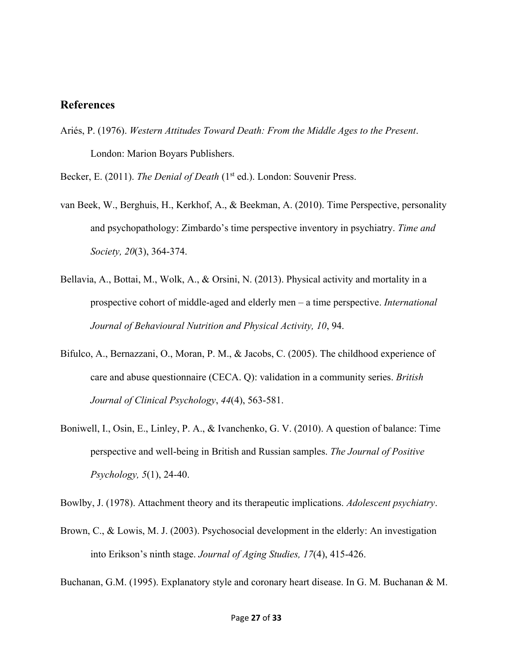## **References**

Ariés, P. (1976). *Western Attitudes Toward Death: From the Middle Ages to the Present*. London: Marion Boyars Publishers.

Becker, E. (2011). *The Denial of Death* (1<sup>st</sup> ed.). London: Souvenir Press.

- van Beek, W., Berghuis, H., Kerkhof, A., & Beekman, A. (2010). Time Perspective, personality and psychopathology: Zimbardo's time perspective inventory in psychiatry. *Time and Society, 20*(3), 364-374.
- Bellavia, A., Bottai, M., Wolk, A., & Orsini, N. (2013). Physical activity and mortality in a prospective cohort of middle-aged and elderly men – a time perspective. *International Journal of Behavioural Nutrition and Physical Activity, 10*, 94.
- Bifulco, A., Bernazzani, O., Moran, P. M., & Jacobs, C. (2005). The childhood experience of care and abuse questionnaire (CECA. Q): validation in a community series. *British Journal of Clinical Psychology*, *44*(4), 563-581.
- Boniwell, I., Osin, E., Linley, P. A., & Ivanchenko, G. V. (2010). A question of balance: Time perspective and well-being in British and Russian samples. *The Journal of Positive Psychology, 5*(1), 24-40.

Bowlby, J. (1978). Attachment theory and its therapeutic implications. *Adolescent psychiatry*.

Brown, C., & Lowis, M. J. (2003). Psychosocial development in the elderly: An investigation into Erikson's ninth stage. *Journal of Aging Studies, 17*(4), 415-426.

Buchanan, G.M. (1995). Explanatory style and coronary heart disease. In G. M. Buchanan & M.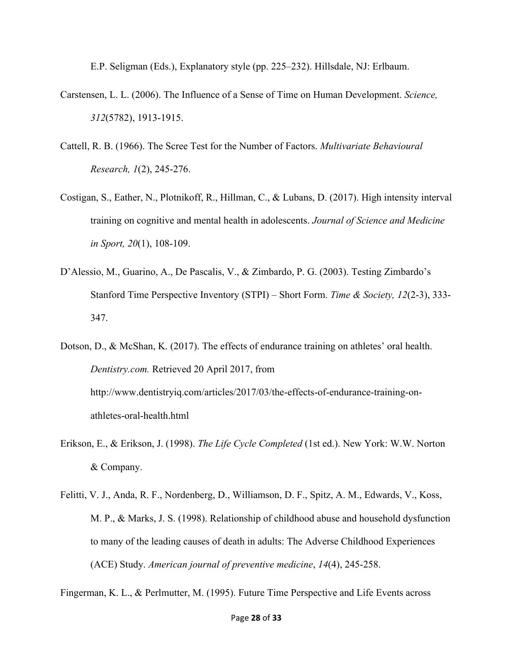E.P. Seligman (Eds.), Explanatory style (pp. 225–232). Hillsdale, NJ: Erlbaum.

- Carstensen, L. L. (2006). The Influence of a Sense of Time on Human Development. *Science, 312*(5782), 1913-1915.
- Cattell, R. B. (1966). The Scree Test for the Number of Factors. *Multivariate Behavioural Research, 1*(2), 245-276.
- Costigan, S., Eather, N., Plotnikoff, R., Hillman, C., & Lubans, D. (2017). High intensity interval training on cognitive and mental health in adolescents. *Journal of Science and Medicine in Sport, 20*(1), 108-109.
- D'Alessio, M., Guarino, A., De Pascalis, V., & Zimbardo, P. G. (2003). Testing Zimbardo's Stanford Time Perspective Inventory (STPI) – Short Form. *Time & Society, 12*(2-3), 333- 347.
- Dotson, D., & McShan, K. (2017). The effects of endurance training on athletes' oral health. *Dentistry.com.* Retrieved 20 April 2017, from [http://www.dentistryiq.com/articles/2017/03/the-effects-of-endurance-training-on](http://www.dentistryiq.com/articles/2017/03/the-effects-of-endurance-training-on-athletes-oral-health.html)[athletes-oral-health.html](http://www.dentistryiq.com/articles/2017/03/the-effects-of-endurance-training-on-athletes-oral-health.html)
- Erikson, E., & Erikson, J. (1998). *The Life Cycle Completed* (1st ed.). New York: W.W. Norton & Company.
- Felitti, V. J., Anda, R. F., Nordenberg, D., Williamson, D. F., Spitz, A. M., Edwards, V., Koss, M. P., & Marks, J. S. (1998). Relationship of childhood abuse and household dysfunction to many of the leading causes of death in adults: The Adverse Childhood Experiences (ACE) Study. *American journal of preventive medicine*, *14*(4), 245-258.

Fingerman, K. L., & Perlmutter, M. (1995). Future Time Perspective and Life Events across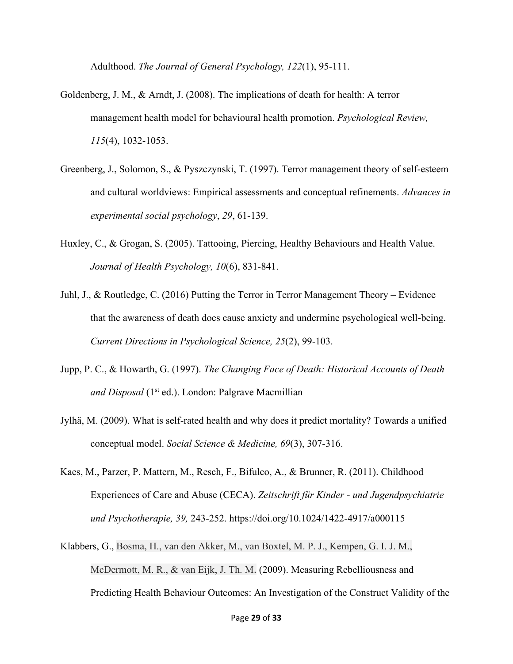Adulthood. *The Journal of General Psychology, 122*(1), 95-111.

- Goldenberg, J. M., & Arndt, J. (2008). The implications of death for health: A terror management health model for behavioural health promotion. *Psychological Review, 115*(4), 1032-1053.
- Greenberg, J., Solomon, S., & Pyszczynski, T. (1997). Terror management theory of self-esteem and cultural worldviews: Empirical assessments and conceptual refinements. *Advances in experimental social psychology*, *29*, 61-139.
- Huxley, C., & Grogan, S. (2005). Tattooing, Piercing, Healthy Behaviours and Health Value. *Journal of Health Psychology, 10*(6), 831-841.
- Juhl, J., & Routledge, C. (2016) Putting the Terror in Terror Management Theory Evidence that the awareness of death does cause anxiety and undermine psychological well-being. *Current Directions in Psychological Science, 25*(2), 99-103.
- Jupp, P. C., & Howarth, G. (1997). *The Changing Face of Death: Historical Accounts of Death and Disposal* (1<sup>st</sup> ed.). London: Palgrave Macmillian
- Jylhä, M. (2009). What is self-rated health and why does it predict mortality? Towards a unified conceptual model. *Social Science & Medicine, 69*(3), 307-316.
- Kaes, M., Parzer, P. Mattern, M., Resch, F., Bifulco, A., & Brunner, R. (2011). Childhood Experiences of Care and Abuse (CECA). *Zeitschrift für Kinder - und Jugendpsychiatrie und Psychotherapie, 39,* 243-252.<https://doi.org/10.1024/1422-4917/a000115>
- Klabbers, G., Bosma, H., van den Akker, M., van Boxtel, M. P. J., Kempen, G. I. J. M., McDermott, M. R., & van Eijk, J. Th. M. (2009). Measuring Rebelliousness and Predicting Health Behaviour Outcomes: An Investigation of the Construct Validity of the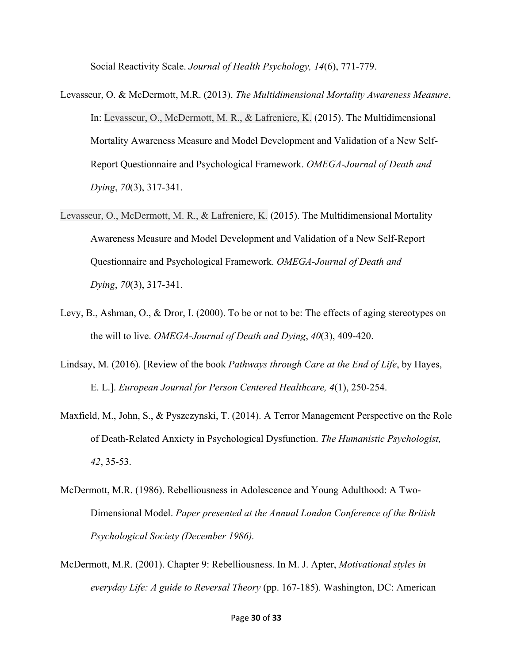Social Reactivity Scale. *Journal of Health Psychology, 14*(6), 771-779.

- Levasseur, O. & McDermott, M.R. (2013). *The Multidimensional Mortality Awareness Measure*, In: Levasseur, O., McDermott, M. R., & Lafreniere, K. (2015). The Multidimensional Mortality Awareness Measure and Model Development and Validation of a New Self-Report Questionnaire and Psychological Framework. *OMEGA-Journal of Death and Dying*, *70*(3), 317-341.
- Levasseur, O., McDermott, M. R., & Lafreniere, K. (2015). The Multidimensional Mortality Awareness Measure and Model Development and Validation of a New Self-Report Questionnaire and Psychological Framework. *OMEGA-Journal of Death and Dying*, *70*(3), 317-341.
- Levy, B., Ashman, O., & Dror, I. (2000). To be or not to be: The effects of aging stereotypes on the will to live. *OMEGA-Journal of Death and Dying*, *40*(3), 409-420.
- Lindsay, M. (2016). [Review of the book *Pathways through Care at the End of Life*, by Hayes, E. L.]. *European Journal for Person Centered Healthcare, 4*(1), 250-254.
- Maxfield, M., John, S., & Pyszczynski, T. (2014). A Terror Management Perspective on the Role of Death-Related Anxiety in Psychological Dysfunction. *The Humanistic Psychologist, 42*, 35-53.
- McDermott, M.R. (1986). Rebelliousness in Adolescence and Young Adulthood: A Two-Dimensional Model. *Paper presented at the Annual London Conference of the British Psychological Society (December 1986).*
- McDermott, M.R. (2001). Chapter 9: Rebelliousness. In M. J. Apter, *Motivational styles in everyday Life: A guide to Reversal Theory* (pp. 167-185)*.* Washington, DC: American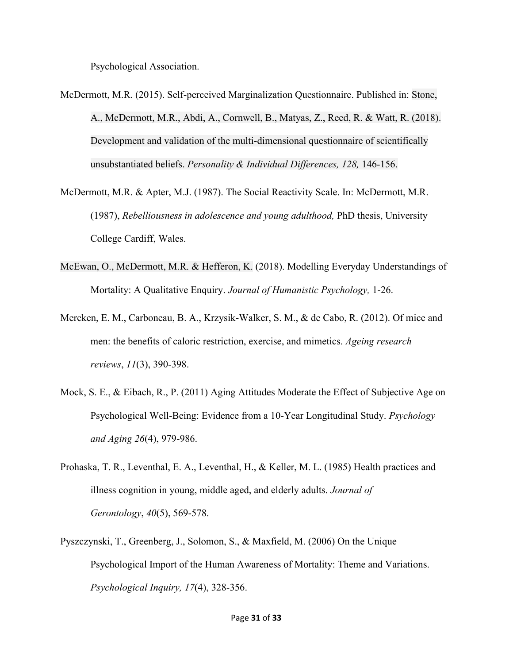Psychological Association.

- McDermott, M.R. (2015). Self-perceived Marginalization Questionnaire. Published in: Stone, A., McDermott, M.R., Abdi, A., Cornwell, B., Matyas, Z., Reed, R. & Watt, R. (2018). Development and validation of the multi-dimensional questionnaire of scientifically unsubstantiated beliefs. *Personality & Individual Differences, 128,* 146-156.
- McDermott, M.R. & Apter, M.J. (1987). The Social Reactivity Scale. In: McDermott, M.R. (1987), *Rebelliousness in adolescence and young adulthood,* PhD thesis, University College Cardiff, Wales.
- McEwan, O., McDermott, M.R. & Hefferon, K. (2018). Modelling Everyday Understandings of Mortality: A Qualitative Enquiry. *Journal of Humanistic Psychology,* 1-26.
- Mercken, E. M., Carboneau, B. A., Krzysik-Walker, S. M., & de Cabo, R. (2012). Of mice and men: the benefits of caloric restriction, exercise, and mimetics. *Ageing research reviews*, *11*(3), 390-398.
- Mock, S. E., & Eibach, R., P. (2011) Aging Attitudes Moderate the Effect of Subjective Age on Psychological Well-Being: Evidence from a 10-Year Longitudinal Study. *Psychology and Aging 26*(4), 979-986.
- Prohaska, T. R., Leventhal, E. A., Leventhal, H., & Keller, M. L. (1985) Health practices and illness cognition in young, middle aged, and elderly adults. *Journal of Gerontology*, *40*(5), 569-578.
- Pyszczynski, T., Greenberg, J., Solomon, S., & Maxfield, M. (2006) On the Unique Psychological Import of the Human Awareness of Mortality: Theme and Variations. *Psychological Inquiry, 17*(4), 328-356.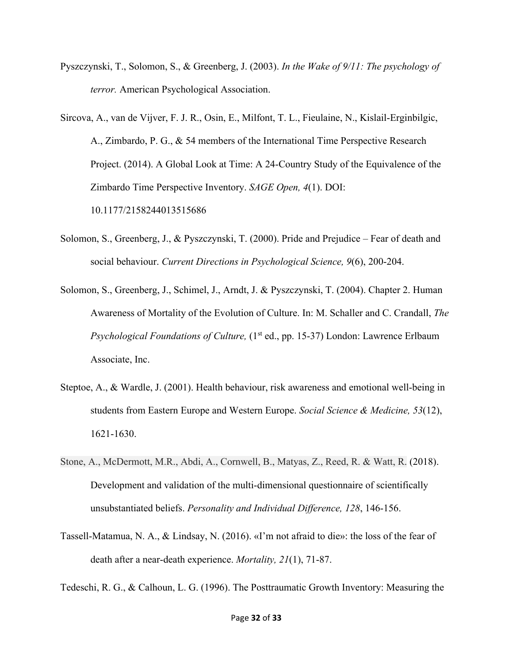- Pyszczynski, T., Solomon, S., & Greenberg, J. (2003). *In the Wake of 9/11: The psychology of terror.* American Psychological Association.
- Sircova, A., van de Vijver, F. J. R., Osin, E., Milfont, T. L., Fieulaine, N., Kislail-Erginbilgic, A., Zimbardo, P. G., & 54 members of the International Time Perspective Research Project. (2014). A Global Look at Time: A 24-Country Study of the Equivalence of the Zimbardo Time Perspective Inventory. *SAGE Open, 4*(1). DOI: 10.1177/2158244013515686
- Solomon, S., Greenberg, J., & Pyszczynski, T. (2000). Pride and Prejudice Fear of death and social behaviour. *Current Directions in Psychological Science, 9*(6), 200-204.
- Solomon, S., Greenberg, J., Schimel, J., Arndt, J. & Pyszczynski, T. (2004). Chapter 2. Human Awareness of Mortality of the Evolution of Culture. In: M. Schaller and C. Crandall, *The Psychological Foundations of Culture,* (1<sup>st</sup> ed., pp. 15-37) London: Lawrence Erlbaum Associate, Inc.
- Steptoe, A., & Wardle, J. (2001). Health behaviour, risk awareness and emotional well-being in students from Eastern Europe and Western Europe. *Social Science & Medicine, 53*(12), 1621-1630.
- Stone, A., McDermott, M.R., Abdi, A., Cornwell, B., Matyas, Z., Reed, R. & Watt, R. (2018). Development and validation of the multi-dimensional questionnaire of scientifically unsubstantiated beliefs. *Personality and Individual Difference, 128*, 146-156.
- Tassell-Matamua, N. A., & Lindsay, N. (2016). «I'm not afraid to die»: the loss of the fear of death after a near-death experience. *Mortality, 21*(1), 71-87.

Tedeschi, R. G., & Calhoun, L. G. (1996). The Posttraumatic Growth Inventory: Measuring the